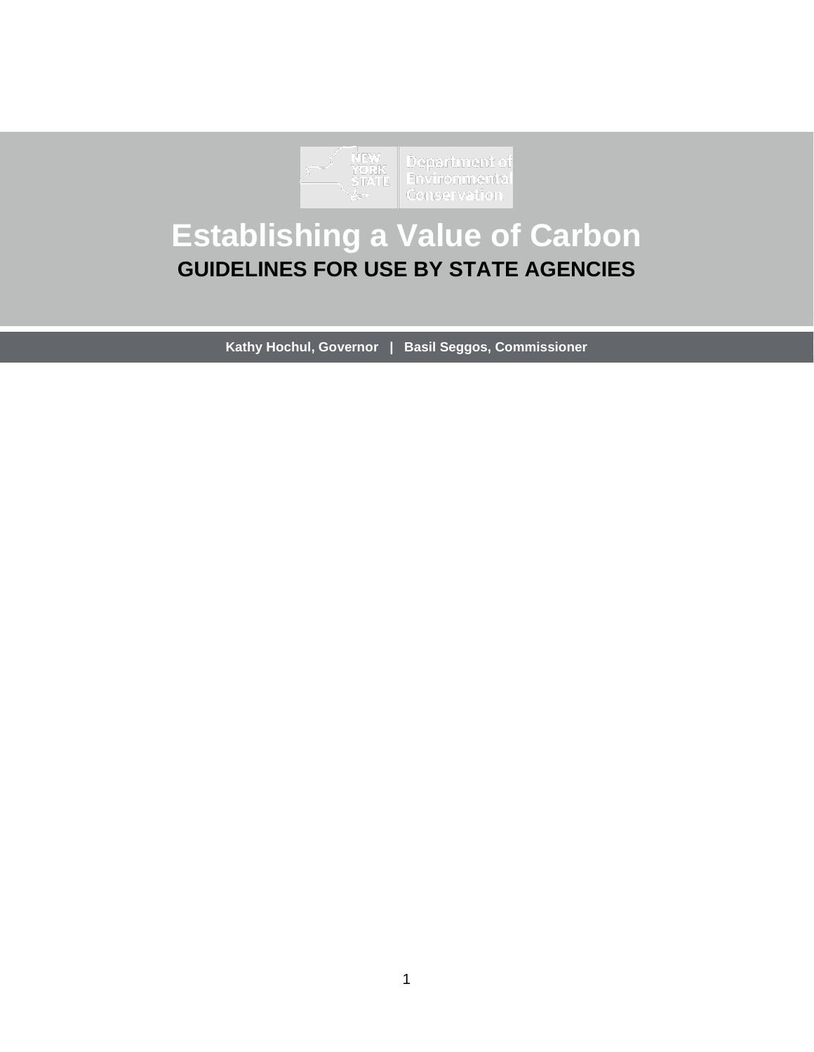

# **Establishing a Value of Carbon GUIDELINES FOR USE BY STATE AGENCIES**

**Kathy Hochul, Governor | Basil Seggos, Commissioner**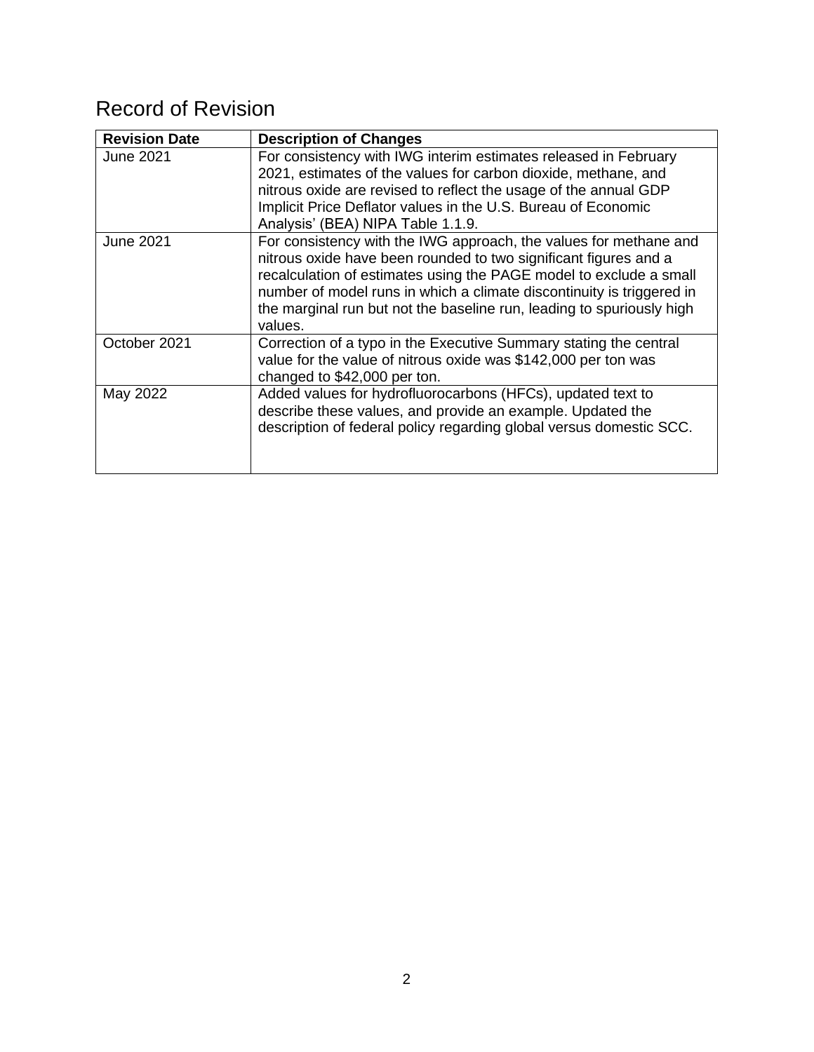## Record of Revision

| <b>Revision Date</b> | <b>Description of Changes</b>                                                                                                                                                                                                                                                                                                                                            |
|----------------------|--------------------------------------------------------------------------------------------------------------------------------------------------------------------------------------------------------------------------------------------------------------------------------------------------------------------------------------------------------------------------|
| <b>June 2021</b>     | For consistency with IWG interim estimates released in February<br>2021, estimates of the values for carbon dioxide, methane, and<br>nitrous oxide are revised to reflect the usage of the annual GDP<br>Implicit Price Deflator values in the U.S. Bureau of Economic<br>Analysis' (BEA) NIPA Table 1.1.9.                                                              |
| <b>June 2021</b>     | For consistency with the IWG approach, the values for methane and<br>nitrous oxide have been rounded to two significant figures and a<br>recalculation of estimates using the PAGE model to exclude a small<br>number of model runs in which a climate discontinuity is triggered in<br>the marginal run but not the baseline run, leading to spuriously high<br>values. |
| October 2021         | Correction of a typo in the Executive Summary stating the central<br>value for the value of nitrous oxide was \$142,000 per ton was<br>changed to \$42,000 per ton.                                                                                                                                                                                                      |
| May 2022             | Added values for hydrofluorocarbons (HFCs), updated text to<br>describe these values, and provide an example. Updated the<br>description of federal policy regarding global versus domestic SCC.                                                                                                                                                                         |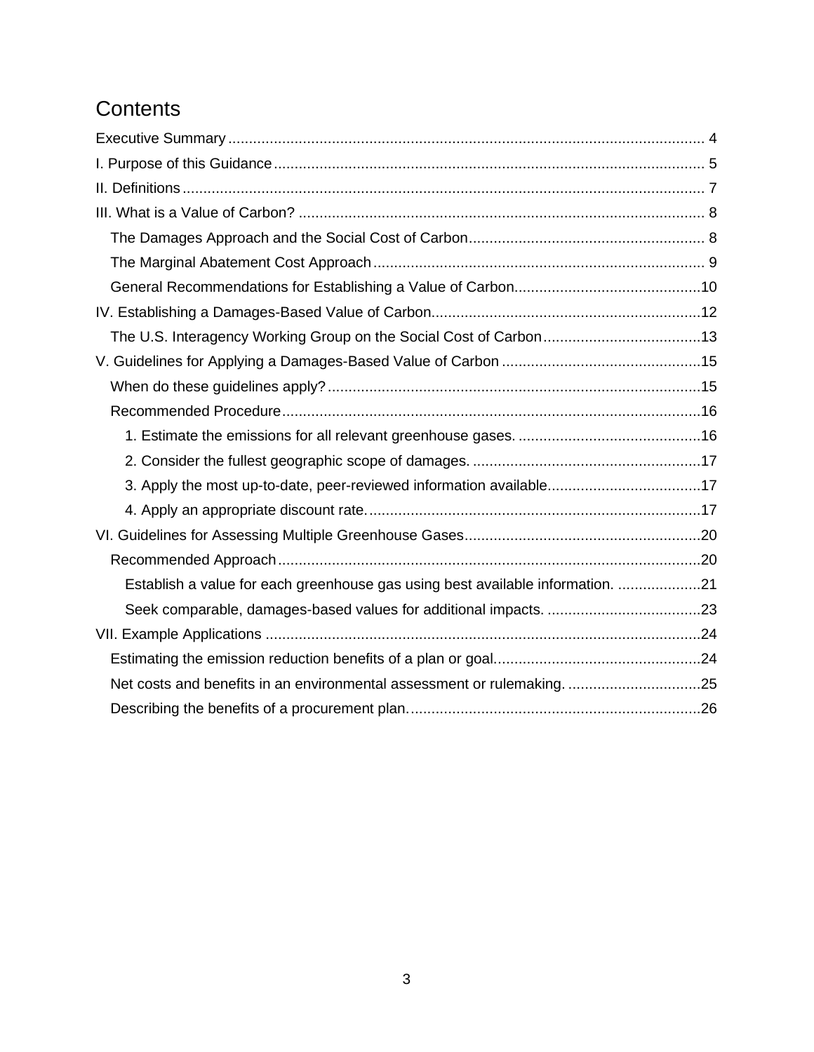## **Contents**

| The U.S. Interagency Working Group on the Social Cost of Carbon13              |  |
|--------------------------------------------------------------------------------|--|
|                                                                                |  |
|                                                                                |  |
|                                                                                |  |
|                                                                                |  |
|                                                                                |  |
| 3. Apply the most up-to-date, peer-reviewed information available17            |  |
|                                                                                |  |
|                                                                                |  |
|                                                                                |  |
| Establish a value for each greenhouse gas using best available information. 21 |  |
|                                                                                |  |
|                                                                                |  |
|                                                                                |  |
| Net costs and benefits in an environmental assessment or rulemaking25          |  |
|                                                                                |  |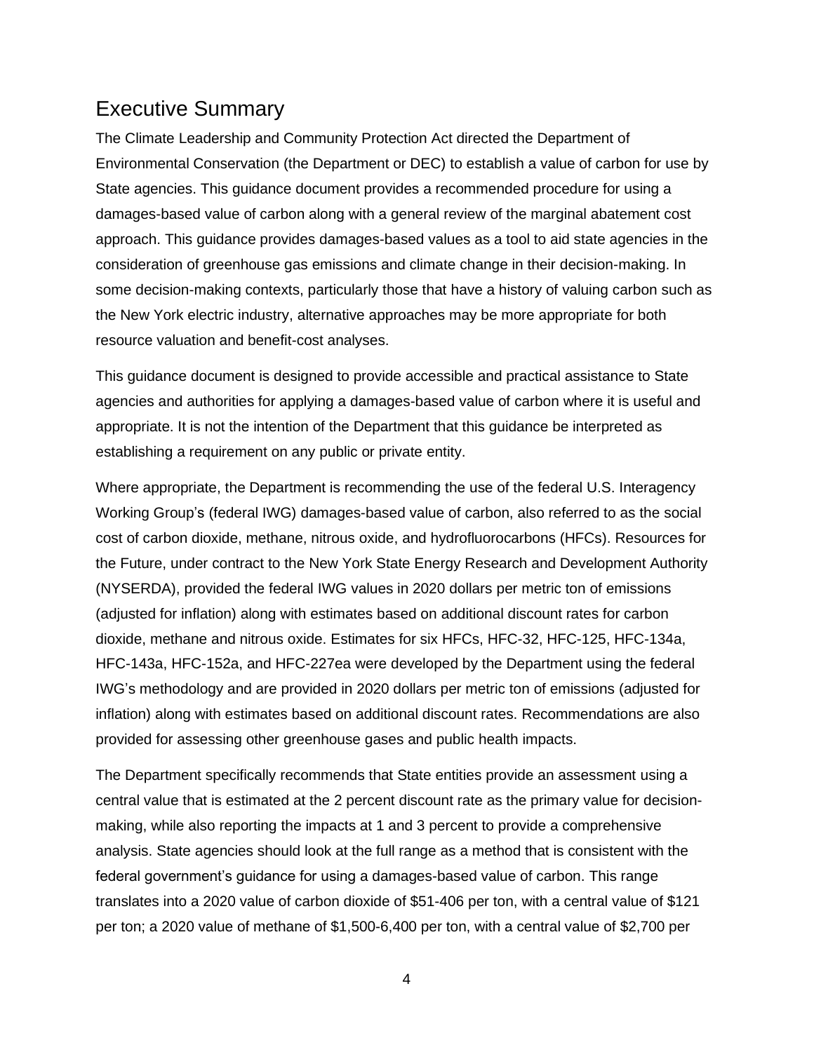### <span id="page-3-0"></span>Executive Summary

The Climate Leadership and Community Protection Act directed the Department of Environmental Conservation (the Department or DEC) to establish a value of carbon for use by State agencies. This guidance document provides a recommended procedure for using a damages-based value of carbon along with a general review of the marginal abatement cost approach. This guidance provides damages-based values as a tool to aid state agencies in the consideration of greenhouse gas emissions and climate change in their decision-making. In some decision-making contexts, particularly those that have a history of valuing carbon such as the New York electric industry, alternative approaches may be more appropriate for both resource valuation and benefit-cost analyses.

This guidance document is designed to provide accessible and practical assistance to State agencies and authorities for applying a damages-based value of carbon where it is useful and appropriate. It is not the intention of the Department that this guidance be interpreted as establishing a requirement on any public or private entity.

Where appropriate, the Department is recommending the use of the federal U.S. Interagency Working Group's (federal IWG) damages-based value of carbon, also referred to as the social cost of carbon dioxide, methane, nitrous oxide, and hydrofluorocarbons (HFCs). Resources for the Future, under contract to the New York State Energy Research and Development Authority (NYSERDA), provided the federal IWG values in 2020 dollars per metric ton of emissions (adjusted for inflation) along with estimates based on additional discount rates for carbon dioxide, methane and nitrous oxide. Estimates for six HFCs, HFC-32, HFC-125, HFC-134a, HFC-143a, HFC-152a, and HFC-227ea were developed by the Department using the federal IWG's methodology and are provided in 2020 dollars per metric ton of emissions (adjusted for inflation) along with estimates based on additional discount rates. Recommendations are also provided for assessing other greenhouse gases and public health impacts.

The Department specifically recommends that State entities provide an assessment using a central value that is estimated at the 2 percent discount rate as the primary value for decisionmaking, while also reporting the impacts at 1 and 3 percent to provide a comprehensive analysis. State agencies should look at the full range as a method that is consistent with the federal government's guidance for using a damages-based value of carbon. This range translates into a 2020 value of carbon dioxide of \$51-406 per ton, with a central value of \$121 per ton; a 2020 value of methane of \$1,500-6,400 per ton, with a central value of \$2,700 per

4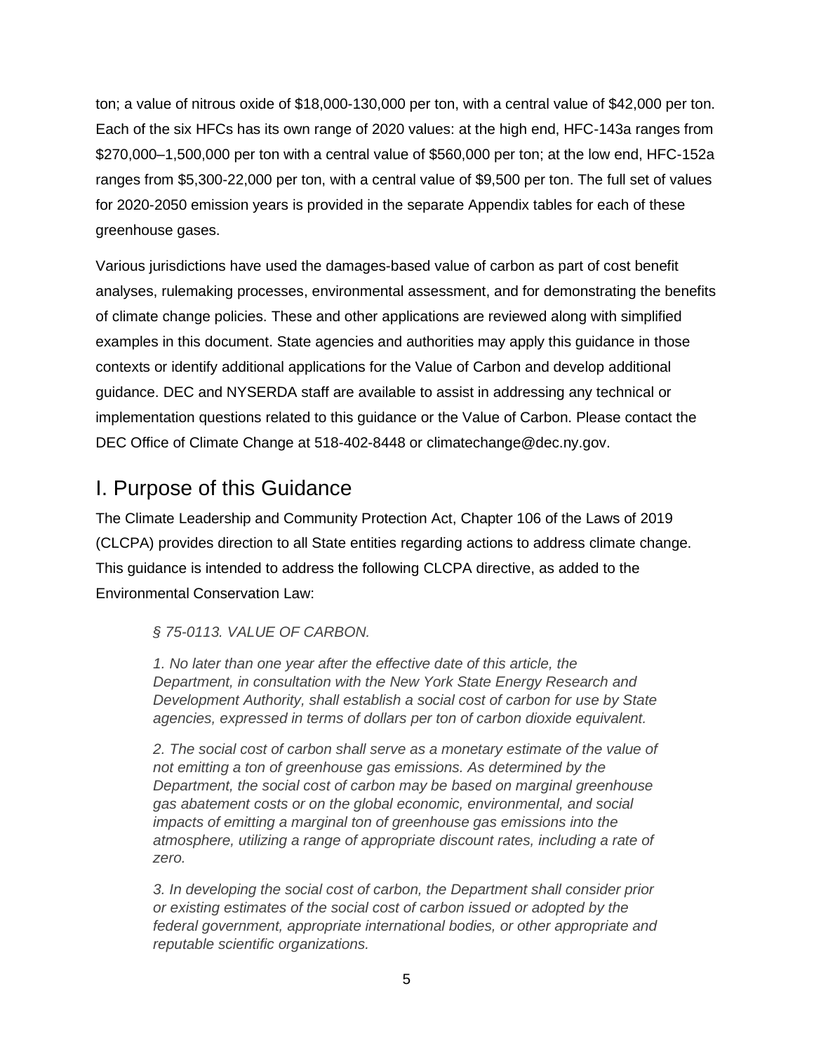ton; a value of nitrous oxide of \$18,000-130,000 per ton, with a central value of \$42,000 per ton. Each of the six HFCs has its own range of 2020 values: at the high end, HFC-143a ranges from \$270,000–1,500,000 per ton with a central value of \$560,000 per ton; at the low end, HFC-152a ranges from \$5,300-22,000 per ton, with a central value of \$9,500 per ton. The full set of values for 2020-2050 emission years is provided in the separate Appendix tables for each of these greenhouse gases.

Various jurisdictions have used the damages-based value of carbon as part of cost benefit analyses, rulemaking processes, environmental assessment, and for demonstrating the benefits of climate change policies. These and other applications are reviewed along with simplified examples in this document. State agencies and authorities may apply this guidance in those contexts or identify additional applications for the Value of Carbon and develop additional guidance. DEC and NYSERDA staff are available to assist in addressing any technical or implementation questions related to this guidance or the Value of Carbon. Please contact the DEC Office of Climate Change at 518-402-8448 or [climatechange@dec.ny.gov.](mailto:climatechange@dec.ny.gov)

### <span id="page-4-0"></span>I. Purpose of this Guidance

The Climate Leadership and Community Protection Act, Chapter 106 of the Laws of 2019 (CLCPA) provides direction to all State entities regarding actions to address climate change. This guidance is intended to address the following CLCPA directive, as added to the Environmental Conservation Law:

### *§ 75-0113. VALUE OF CARBON.*

*1. No later than one year after the effective date of this article, the Department, in consultation with the New York State Energy Research and Development Authority, shall establish a social cost of carbon for use by State agencies, expressed in terms of dollars per ton of carbon dioxide equivalent.*

*2. The social cost of carbon shall serve as a monetary estimate of the value of not emitting a ton of greenhouse gas emissions. As determined by the Department, the social cost of carbon may be based on marginal greenhouse gas abatement costs or on the global economic, environmental, and social impacts of emitting a marginal ton of greenhouse gas emissions into the atmosphere, utilizing a range of appropriate discount rates, including a rate of zero.*

*3. In developing the social cost of carbon, the Department shall consider prior or existing estimates of the social cost of carbon issued or adopted by the federal government, appropriate international bodies, or other appropriate and reputable scientific organizations.*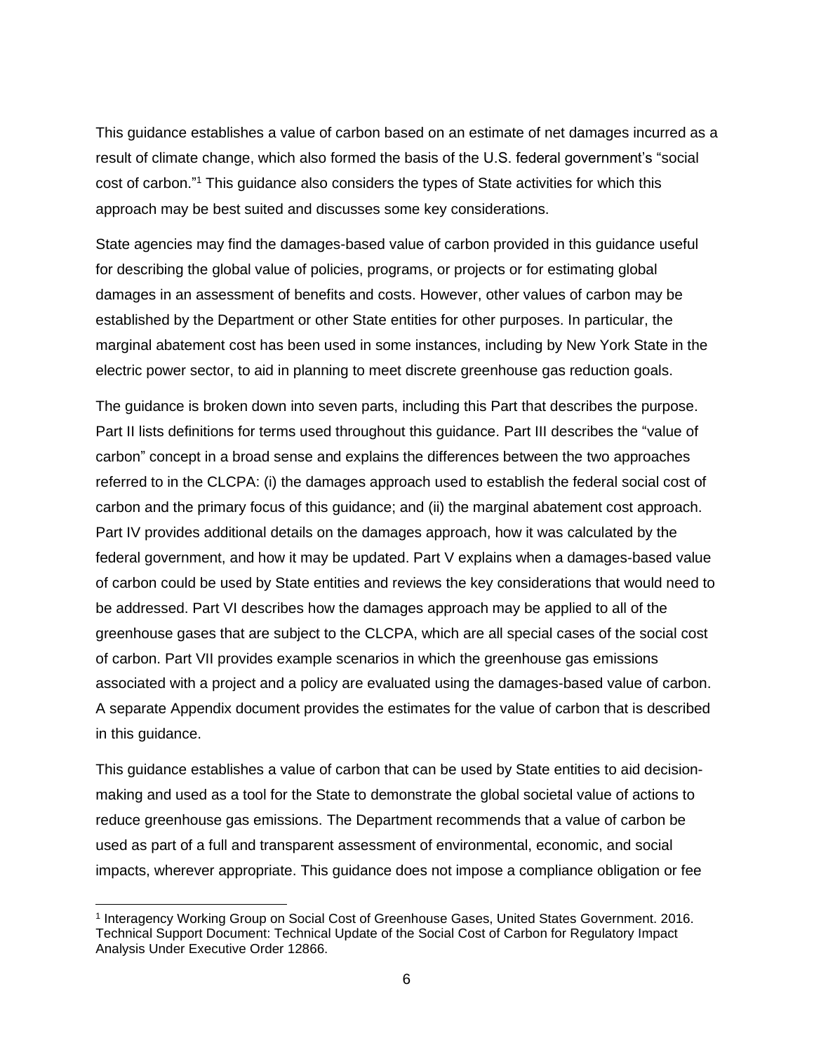This guidance establishes a value of carbon based on an estimate of net damages incurred as a result of climate change, which also formed the basis of the U.S. federal government's "social cost of carbon." <sup>1</sup> This guidance also considers the types of State activities for which this approach may be best suited and discusses some key considerations.

State agencies may find the damages-based value of carbon provided in this guidance useful for describing the global value of policies, programs, or projects or for estimating global damages in an assessment of benefits and costs. However, other values of carbon may be established by the Department or other State entities for other purposes. In particular, the marginal abatement cost has been used in some instances, including by New York State in the electric power sector, to aid in planning to meet discrete greenhouse gas reduction goals.

The guidance is broken down into seven parts, including this Part that describes the purpose. Part II lists definitions for terms used throughout this guidance. Part III describes the "value of carbon" concept in a broad sense and explains the differences between the two approaches referred to in the CLCPA: (i) the damages approach used to establish the federal social cost of carbon and the primary focus of this guidance; and (ii) the marginal abatement cost approach. Part IV provides additional details on the damages approach, how it was calculated by the federal government, and how it may be updated. Part V explains when a damages-based value of carbon could be used by State entities and reviews the key considerations that would need to be addressed. Part VI describes how the damages approach may be applied to all of the greenhouse gases that are subject to the CLCPA, which are all special cases of the social cost of carbon. Part VII provides example scenarios in which the greenhouse gas emissions associated with a project and a policy are evaluated using the damages-based value of carbon. A separate Appendix document provides the estimates for the value of carbon that is described in this guidance.

This guidance establishes a value of carbon that can be used by State entities to aid decisionmaking and used as a tool for the State to demonstrate the global societal value of actions to reduce greenhouse gas emissions. The Department recommends that a value of carbon be used as part of a full and transparent assessment of environmental, economic, and social impacts, wherever appropriate. This guidance does not impose a compliance obligation or fee

<sup>1</sup> Interagency Working Group on Social Cost of Greenhouse Gases, United States Government. 2016. Technical Support Document: Technical Update of the Social Cost of Carbon for Regulatory Impact Analysis Under Executive Order 12866.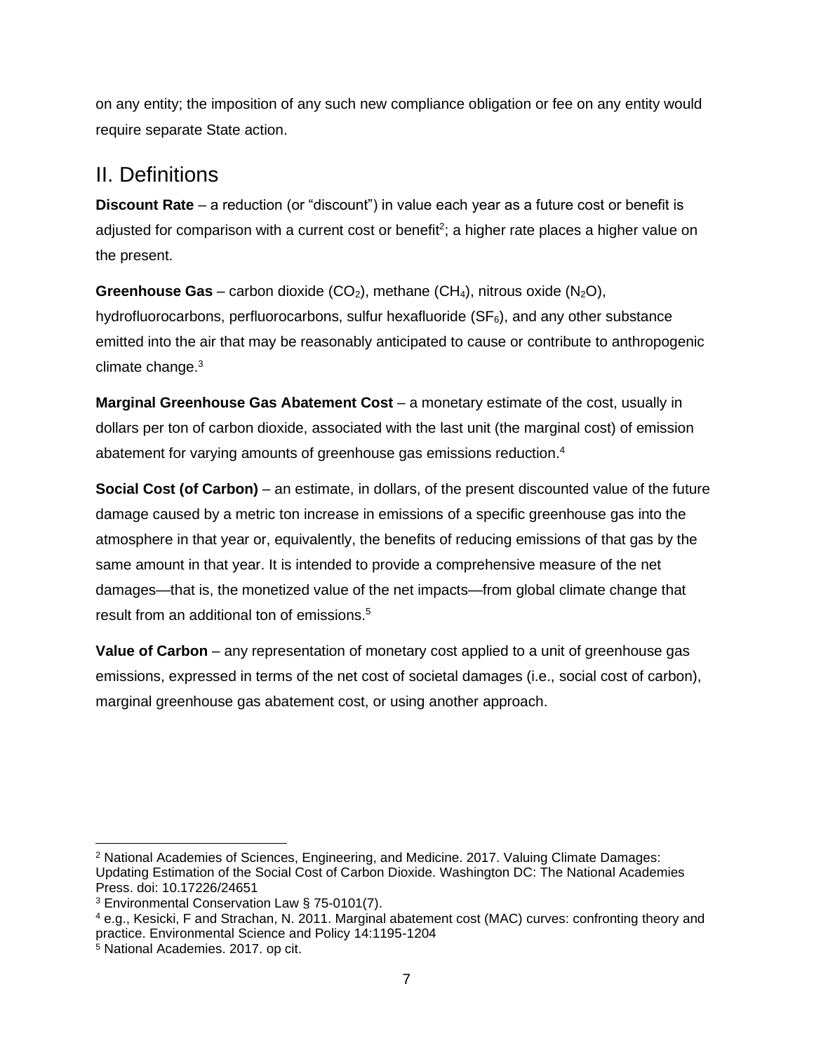on any entity; the imposition of any such new compliance obligation or fee on any entity would require separate State action.

### <span id="page-6-0"></span>II. Definitions

**Discount Rate** – a reduction (or "discount") in value each year as a future cost or benefit is adjusted for comparison with a current cost or benefit<sup>2</sup>; a higher rate places a higher value on the present.

**Greenhouse Gas** – carbon dioxide  $(CO_2)$ , methane  $(CH_4)$ , nitrous oxide  $(N_2O)$ , hydrofluorocarbons, perfluorocarbons, sulfur hexafluoride  $(SF_6)$ , and any other substance emitted into the air that may be reasonably anticipated to cause or contribute to anthropogenic climate change.<sup>3</sup>

**Marginal Greenhouse Gas Abatement Cost** – a monetary estimate of the cost, usually in dollars per ton of carbon dioxide, associated with the last unit (the marginal cost) of emission abatement for varying amounts of greenhouse gas emissions reduction. 4

**Social Cost (of Carbon)** – an estimate, in dollars, of the present discounted value of the future damage caused by a metric ton increase in emissions of a specific greenhouse gas into the atmosphere in that year or, equivalently, the benefits of reducing emissions of that gas by the same amount in that year. It is intended to provide a comprehensive measure of the net damages—that is, the monetized value of the net impacts—from global climate change that result from an additional ton of emissions.<sup>5</sup>

**Value of Carbon** – any representation of monetary cost applied to a unit of greenhouse gas emissions, expressed in terms of the net cost of societal damages (i.e., social cost of carbon), marginal greenhouse gas abatement cost, or using another approach.

<sup>2</sup> National Academies of Sciences, Engineering, and Medicine. 2017. Valuing Climate Damages: Updating Estimation of the Social Cost of Carbon Dioxide. Washington DC: The National Academies Press. doi: 10.17226/24651

<sup>3</sup> Environmental Conservation Law § 75-0101(7).

<sup>4</sup> e.g., Kesicki, F and Strachan, N. 2011. Marginal abatement cost (MAC) curves: confronting theory and practice. Environmental Science and Policy 14:1195-1204

<sup>5</sup> National Academies. 2017. op cit.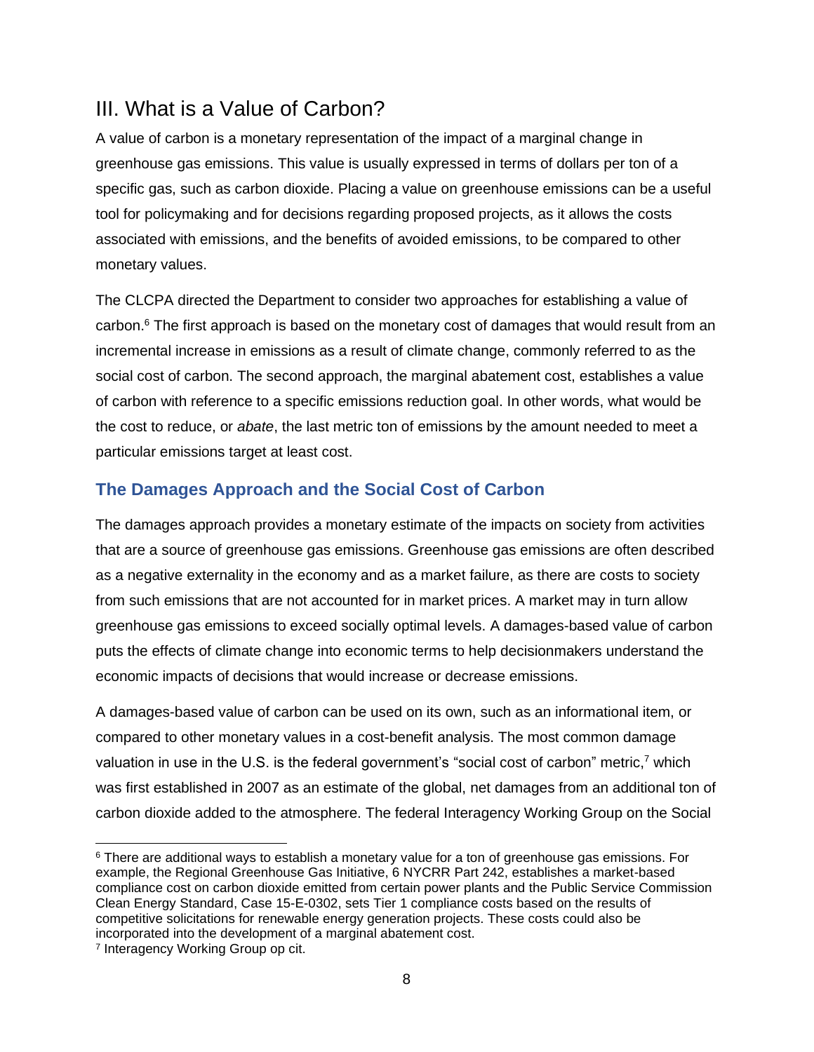## <span id="page-7-0"></span>III. What is a Value of Carbon?

A value of carbon is a monetary representation of the impact of a marginal change in greenhouse gas emissions. This value is usually expressed in terms of dollars per ton of a specific gas, such as carbon dioxide. Placing a value on greenhouse emissions can be a useful tool for policymaking and for decisions regarding proposed projects, as it allows the costs associated with emissions, and the benefits of avoided emissions, to be compared to other monetary values.

The CLCPA directed the Department to consider two approaches for establishing a value of carbon.<sup>6</sup> The first approach is based on the monetary cost of damages that would result from an incremental increase in emissions as a result of climate change, commonly referred to as the social cost of carbon. The second approach, the marginal abatement cost, establishes a value of carbon with reference to a specific emissions reduction goal. In other words, what would be the cost to reduce, or *abate*, the last metric ton of emissions by the amount needed to meet a particular emissions target at least cost.

### <span id="page-7-1"></span>**The Damages Approach and the Social Cost of Carbon**

The damages approach provides a monetary estimate of the impacts on society from activities that are a source of greenhouse gas emissions. Greenhouse gas emissions are often described as a negative externality in the economy and as a market failure, as there are costs to society from such emissions that are not accounted for in market prices. A market may in turn allow greenhouse gas emissions to exceed socially optimal levels. A damages-based value of carbon puts the effects of climate change into economic terms to help decisionmakers understand the economic impacts of decisions that would increase or decrease emissions.

A damages-based value of carbon can be used on its own, such as an informational item, or compared to other monetary values in a cost-benefit analysis. The most common damage valuation in use in the U.S. is the federal government's "social cost of carbon" metric,<sup>7</sup> which was first established in 2007 as an estimate of the global, net damages from an additional ton of carbon dioxide added to the atmosphere. The federal Interagency Working Group on the Social

<sup>&</sup>lt;sup>6</sup> There are additional ways to establish a monetary value for a ton of greenhouse gas emissions. For example, the Regional Greenhouse Gas Initiative, 6 NYCRR Part 242, establishes a market-based compliance cost on carbon dioxide emitted from certain power plants and the Public Service Commission Clean Energy Standard, Case 15-E-0302, sets Tier 1 compliance costs based on the results of competitive solicitations for renewable energy generation projects. These costs could also be incorporated into the development of a marginal abatement cost.

<sup>&</sup>lt;sup>7</sup> Interagency Working Group op cit.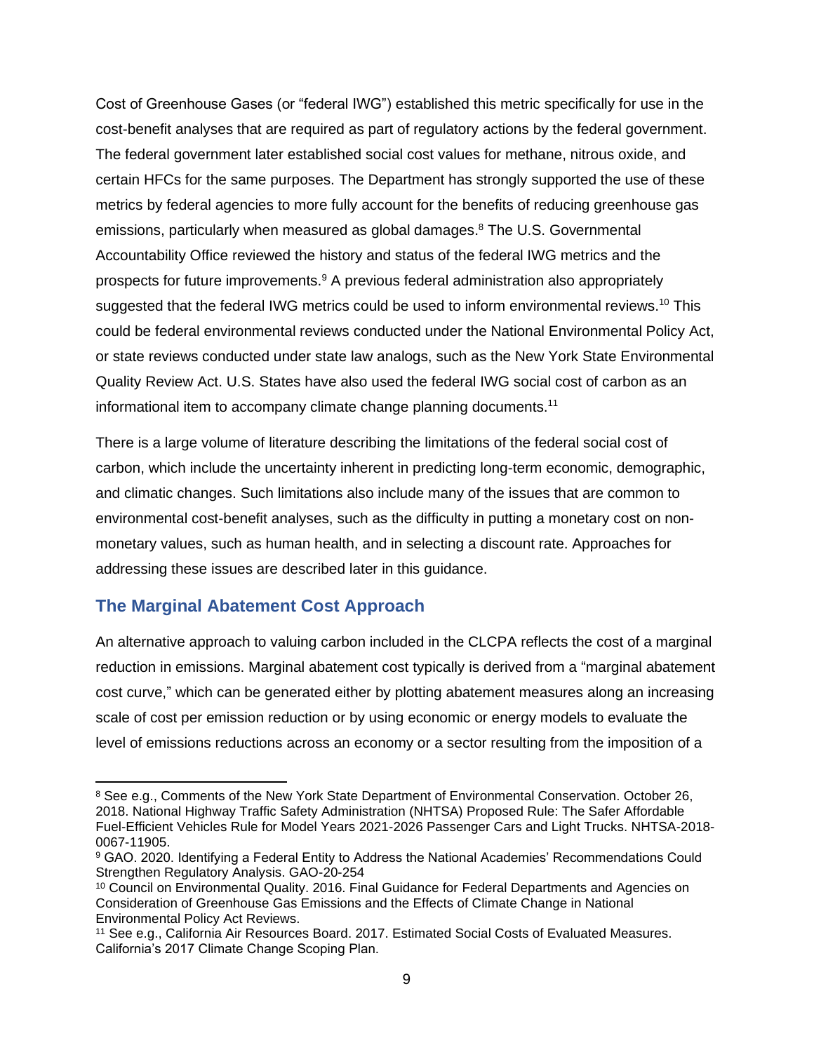Cost of Greenhouse Gases (or "federal IWG") established this metric specifically for use in the cost-benefit analyses that are required as part of regulatory actions by the federal government. The federal government later established social cost values for methane, nitrous oxide, and certain HFCs for the same purposes. The Department has strongly supported the use of these metrics by federal agencies to more fully account for the benefits of reducing greenhouse gas emissions, particularly when measured as global damages. <sup>8</sup> The U.S. Governmental Accountability Office reviewed the history and status of the federal IWG metrics and the prospects for future improvements.<sup>9</sup> A previous federal administration also appropriately suggested that the federal IWG metrics could be used to inform environmental reviews.<sup>10</sup> This could be federal environmental reviews conducted under the National Environmental Policy Act, or state reviews conducted under state law analogs, such as the New York State Environmental Quality Review Act. U.S. States have also used the federal IWG social cost of carbon as an informational item to accompany climate change planning documents.<sup>11</sup>

There is a large volume of literature describing the limitations of the federal social cost of carbon, which include the uncertainty inherent in predicting long-term economic, demographic, and climatic changes. Such limitations also include many of the issues that are common to environmental cost-benefit analyses, such as the difficulty in putting a monetary cost on nonmonetary values, such as human health, and in selecting a discount rate. Approaches for addressing these issues are described later in this guidance.

### <span id="page-8-0"></span>**The Marginal Abatement Cost Approach**

An alternative approach to valuing carbon included in the CLCPA reflects the cost of a marginal reduction in emissions. Marginal abatement cost typically is derived from a "marginal abatement cost curve," which can be generated either by plotting abatement measures along an increasing scale of cost per emission reduction or by using economic or energy models to evaluate the level of emissions reductions across an economy or a sector resulting from the imposition of a

<sup>&</sup>lt;sup>8</sup> See e.g., Comments of the New York State Department of Environmental Conservation. October 26, 2018. National Highway Traffic Safety Administration (NHTSA) Proposed Rule: The Safer Affordable Fuel-Efficient Vehicles Rule for Model Years 2021-2026 Passenger Cars and Light Trucks. NHTSA-2018- 0067-11905.

<sup>9</sup> GAO. 2020. Identifying a Federal Entity to Address the National Academies' Recommendations Could Strengthen Regulatory Analysis. GAO-20-254

<sup>&</sup>lt;sup>10</sup> Council on Environmental Quality. 2016. Final Guidance for Federal Departments and Agencies on Consideration of Greenhouse Gas Emissions and the Effects of Climate Change in National Environmental Policy Act Reviews.

<sup>11</sup> See e.g., California Air Resources Board. 2017. Estimated Social Costs of Evaluated Measures. California's 2017 Climate Change Scoping Plan.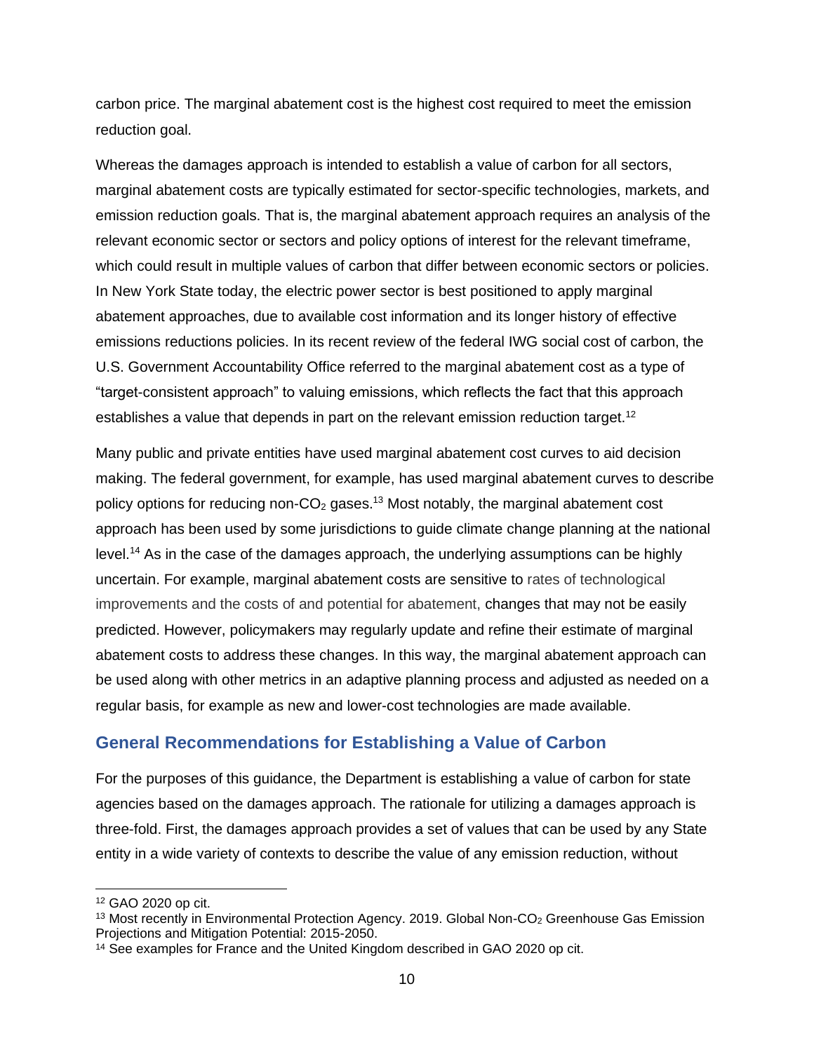carbon price. The marginal abatement cost is the highest cost required to meet the emission reduction goal.

Whereas the damages approach is intended to establish a value of carbon for all sectors, marginal abatement costs are typically estimated for sector-specific technologies, markets, and emission reduction goals. That is, the marginal abatement approach requires an analysis of the relevant economic sector or sectors and policy options of interest for the relevant timeframe, which could result in multiple values of carbon that differ between economic sectors or policies. In New York State today, the electric power sector is best positioned to apply marginal abatement approaches, due to available cost information and its longer history of effective emissions reductions policies. In its recent review of the federal IWG social cost of carbon, the U.S. Government Accountability Office referred to the marginal abatement cost as a type of "target-consistent approach" to valuing emissions, which reflects the fact that this approach establishes a value that depends in part on the relevant emission reduction target.<sup>12</sup>

Many public and private entities have used marginal abatement cost curves to aid decision making. The federal government, for example, has used marginal abatement curves to describe policy options for reducing non- $CO<sub>2</sub>$  gases.<sup>13</sup> Most notably, the marginal abatement cost approach has been used by some jurisdictions to guide climate change planning at the national level.<sup>14</sup> As in the case of the damages approach, the underlying assumptions can be highly uncertain. For example, marginal abatement costs are sensitive to rates of technological improvements and the costs of and potential for abatement, changes that may not be easily predicted. However, policymakers may regularly update and refine their estimate of marginal abatement costs to address these changes. In this way, the marginal abatement approach can be used along with other metrics in an adaptive planning process and adjusted as needed on a regular basis, for example as new and lower-cost technologies are made available.

### <span id="page-9-0"></span>**General Recommendations for Establishing a Value of Carbon**

For the purposes of this guidance, the Department is establishing a value of carbon for state agencies based on the damages approach. The rationale for utilizing a damages approach is three-fold. First, the damages approach provides a set of values that can be used by any State entity in a wide variety of contexts to describe the value of any emission reduction, without

<sup>12</sup> GAO 2020 op cit.

<sup>&</sup>lt;sup>13</sup> Most recently in Environmental Protection Agency. 2019. Global Non-CO<sub>2</sub> Greenhouse Gas Emission Projections and Mitigation Potential: 2015-2050.

<sup>&</sup>lt;sup>14</sup> See examples for France and the United Kingdom described in GAO 2020 op cit.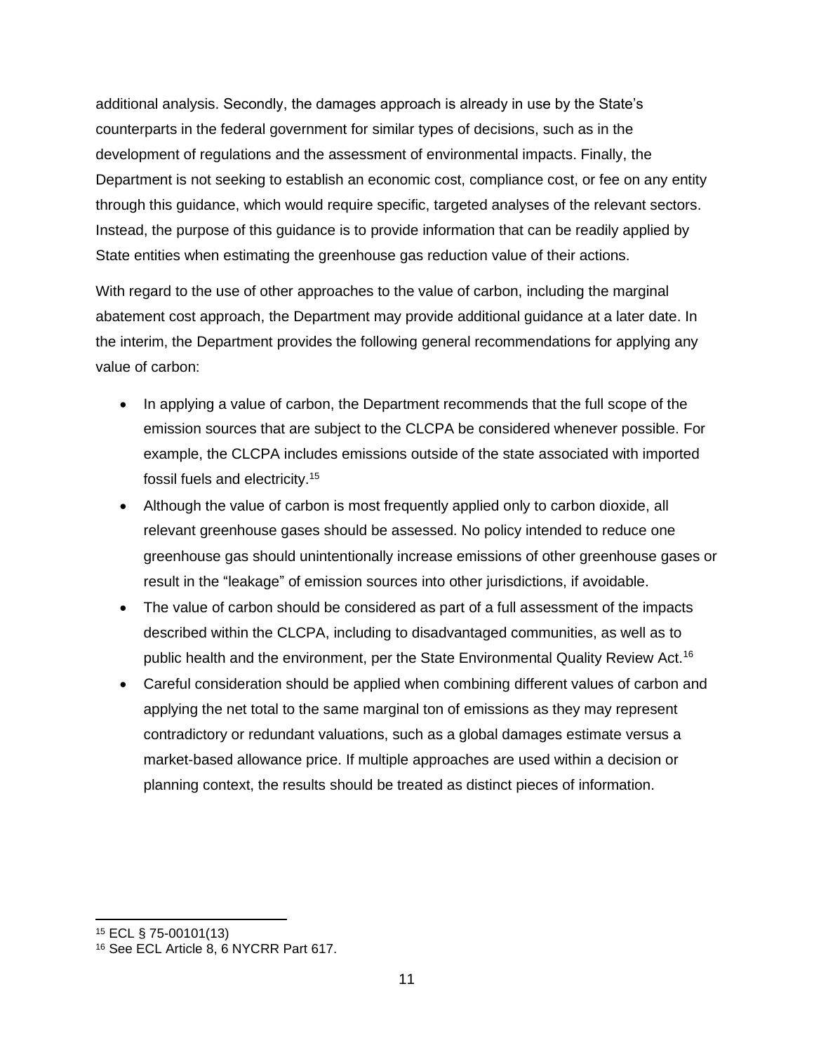additional analysis. Secondly, the damages approach is already in use by the State's counterparts in the federal government for similar types of decisions, such as in the development of regulations and the assessment of environmental impacts. Finally, the Department is not seeking to establish an economic cost, compliance cost, or fee on any entity through this guidance, which would require specific, targeted analyses of the relevant sectors. Instead, the purpose of this guidance is to provide information that can be readily applied by State entities when estimating the greenhouse gas reduction value of their actions.

With regard to the use of other approaches to the value of carbon, including the marginal abatement cost approach, the Department may provide additional guidance at a later date. In the interim, the Department provides the following general recommendations for applying any value of carbon:

- In applying a value of carbon, the Department recommends that the full scope of the emission sources that are subject to the CLCPA be considered whenever possible. For example, the CLCPA includes emissions outside of the state associated with imported fossil fuels and electricity.<sup>15</sup>
- Although the value of carbon is most frequently applied only to carbon dioxide, all relevant greenhouse gases should be assessed. No policy intended to reduce one greenhouse gas should unintentionally increase emissions of other greenhouse gases or result in the "leakage" of emission sources into other jurisdictions, if avoidable.
- The value of carbon should be considered as part of a full assessment of the impacts described within the CLCPA, including to disadvantaged communities, as well as to public health and the environment, per the State Environmental Quality Review Act.<sup>16</sup>
- Careful consideration should be applied when combining different values of carbon and applying the net total to the same marginal ton of emissions as they may represent contradictory or redundant valuations, such as a global damages estimate versus a market-based allowance price. If multiple approaches are used within a decision or planning context, the results should be treated as distinct pieces of information.

<sup>15</sup> ECL § 75-00101(13)

<sup>16</sup> See ECL Article 8, 6 NYCRR Part 617.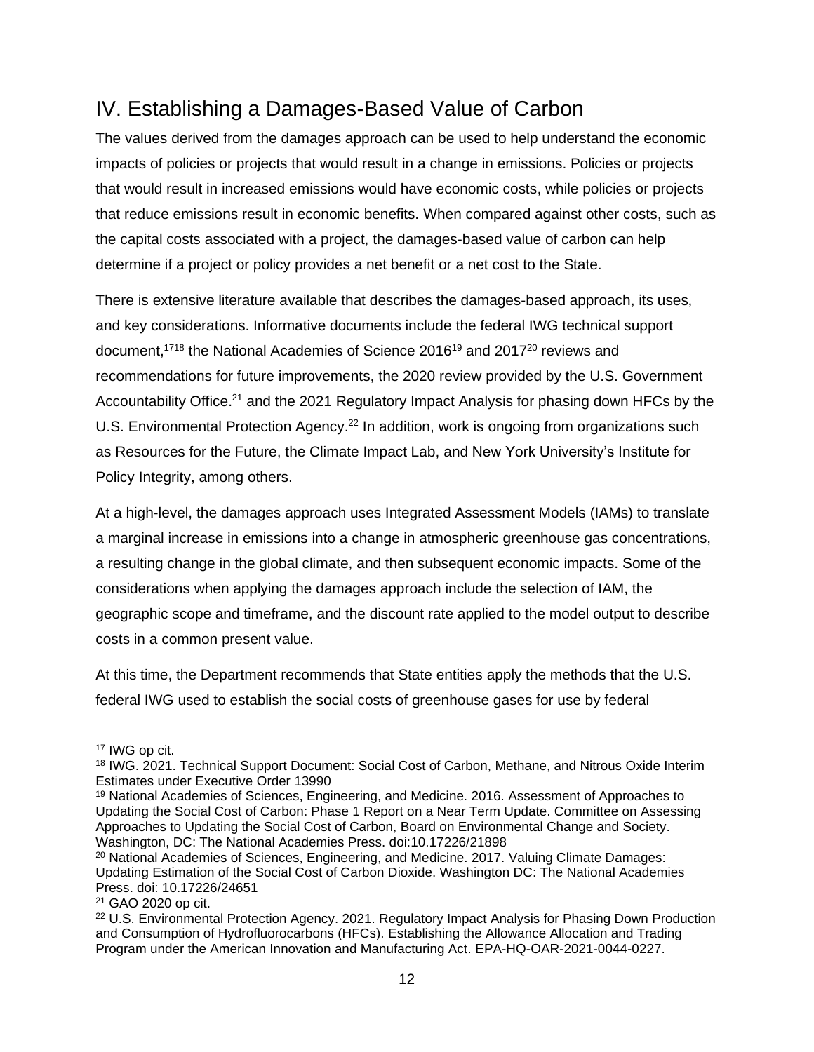## <span id="page-11-0"></span>IV. Establishing a Damages-Based Value of Carbon

The values derived from the damages approach can be used to help understand the economic impacts of policies or projects that would result in a change in emissions. Policies or projects that would result in increased emissions would have economic costs, while policies or projects that reduce emissions result in economic benefits. When compared against other costs, such as the capital costs associated with a project, the damages-based value of carbon can help determine if a project or policy provides a net benefit or a net cost to the State.

There is extensive literature available that describes the damages-based approach, its uses, and key considerations. Informative documents include the federal IWG technical support document,<sup>1718</sup> the National Academies of Science 2016<sup>19</sup> and 2017<sup>20</sup> reviews and recommendations for future improvements, the 2020 review provided by the U.S. Government Accountability Office.<sup>21</sup> and the 2021 Regulatory Impact Analysis for phasing down HFCs by the U.S. Environmental Protection Agency.<sup>22</sup> In addition, work is ongoing from organizations such as Resources for the Future, the Climate Impact Lab, and New York University's Institute for Policy Integrity, among others.

At a high-level, the damages approach uses Integrated Assessment Models (IAMs) to translate a marginal increase in emissions into a change in atmospheric greenhouse gas concentrations, a resulting change in the global climate, and then subsequent economic impacts. Some of the considerations when applying the damages approach include the selection of IAM, the geographic scope and timeframe, and the discount rate applied to the model output to describe costs in a common present value.

At this time, the Department recommends that State entities apply the methods that the U.S. federal IWG used to establish the social costs of greenhouse gases for use by federal

<sup>17</sup> IWG op cit.

<sup>18</sup> IWG. 2021. Technical Support Document: Social Cost of Carbon, Methane, and Nitrous Oxide Interim Estimates under Executive Order 13990

<sup>19</sup> National Academies of Sciences, Engineering, and Medicine. 2016. Assessment of Approaches to Updating the Social Cost of Carbon: Phase 1 Report on a Near Term Update. Committee on Assessing Approaches to Updating the Social Cost of Carbon, Board on Environmental Change and Society. Washington, DC: The National Academies Press. doi:10.17226/21898

<sup>&</sup>lt;sup>20</sup> National Academies of Sciences, Engineering, and Medicine. 2017. Valuing Climate Damages: Updating Estimation of the Social Cost of Carbon Dioxide. Washington DC: The National Academies Press. doi: 10.17226/24651

<sup>21</sup> GAO 2020 op cit.

<sup>22</sup> U.S. Environmental Protection Agency. 2021. Regulatory Impact Analysis for Phasing Down Production and Consumption of Hydrofluorocarbons (HFCs). Establishing the Allowance Allocation and Trading Program under the American Innovation and Manufacturing Act. EPA-HQ-OAR-2021-0044-0227.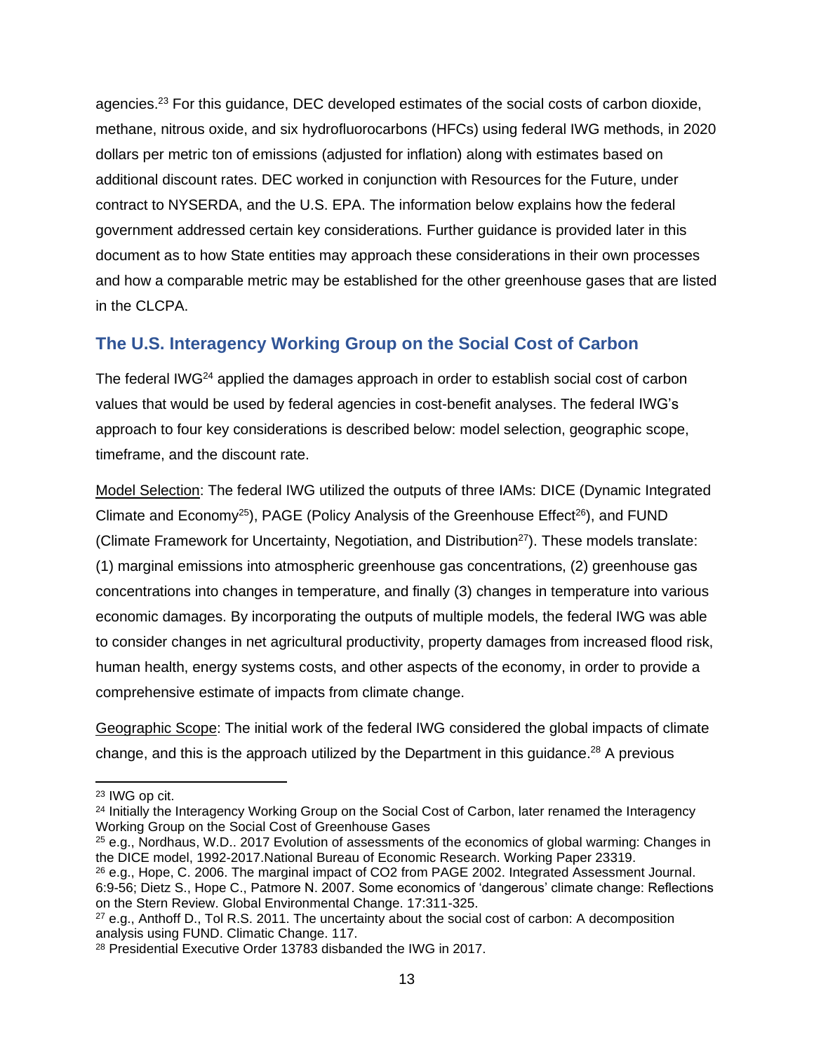agencies.<sup>23</sup> For this guidance, DEC developed estimates of the social costs of carbon dioxide, methane, nitrous oxide, and six hydrofluorocarbons (HFCs) using federal IWG methods, in 2020 dollars per metric ton of emissions (adjusted for inflation) along with estimates based on additional discount rates. DEC worked in conjunction with Resources for the Future, under contract to NYSERDA, and the U.S. EPA. The information below explains how the federal government addressed certain key considerations. Further guidance is provided later in this document as to how State entities may approach these considerations in their own processes and how a comparable metric may be established for the other greenhouse gases that are listed in the CLCPA.

### <span id="page-12-0"></span>**The U.S. Interagency Working Group on the Social Cost of Carbon**

The federal IWG<sup>24</sup> applied the damages approach in order to establish social cost of carbon values that would be used by federal agencies in cost-benefit analyses. The federal IWG's approach to four key considerations is described below: model selection, geographic scope, timeframe, and the discount rate.

Model Selection: The federal IWG utilized the outputs of three IAMs: DICE (Dynamic Integrated Climate and Economy<sup>25</sup>), PAGE (Policy Analysis of the Greenhouse Effect<sup>26</sup>), and FUND (Climate Framework for Uncertainty, Negotiation, and Distribution<sup>27</sup>). These models translate: (1) marginal emissions into atmospheric greenhouse gas concentrations, (2) greenhouse gas concentrations into changes in temperature, and finally (3) changes in temperature into various economic damages. By incorporating the outputs of multiple models, the federal IWG was able to consider changes in net agricultural productivity, property damages from increased flood risk, human health, energy systems costs, and other aspects of the economy, in order to provide a comprehensive estimate of impacts from climate change.

Geographic Scope: The initial work of the federal IWG considered the global impacts of climate change, and this is the approach utilized by the Department in this guidance.<sup>28</sup> A previous

<sup>23</sup> IWG op cit.

<sup>&</sup>lt;sup>24</sup> Initially the Interagency Working Group on the Social Cost of Carbon, later renamed the Interagency Working Group on the Social Cost of Greenhouse Gases

<sup>&</sup>lt;sup>25</sup> e.g., Nordhaus, W.D.. 2017 Evolution of assessments of the economics of global warming: Changes in the DICE model, 1992-2017.National Bureau of Economic Research. Working Paper 23319.

<sup>&</sup>lt;sup>26</sup> e.g., Hope, C. 2006. The marginal impact of CO2 from PAGE 2002. Integrated Assessment Journal. 6:9-56; Dietz S., Hope C., Patmore N. 2007. Some economics of 'dangerous' climate change: Reflections on the Stern Review. Global Environmental Change. 17:311-325.

 $27$  e.g., Anthoff D., Tol R.S. 2011. The uncertainty about the social cost of carbon: A decomposition analysis using FUND. Climatic Change. 117.

<sup>28</sup> Presidential Executive Order 13783 disbanded the IWG in 2017.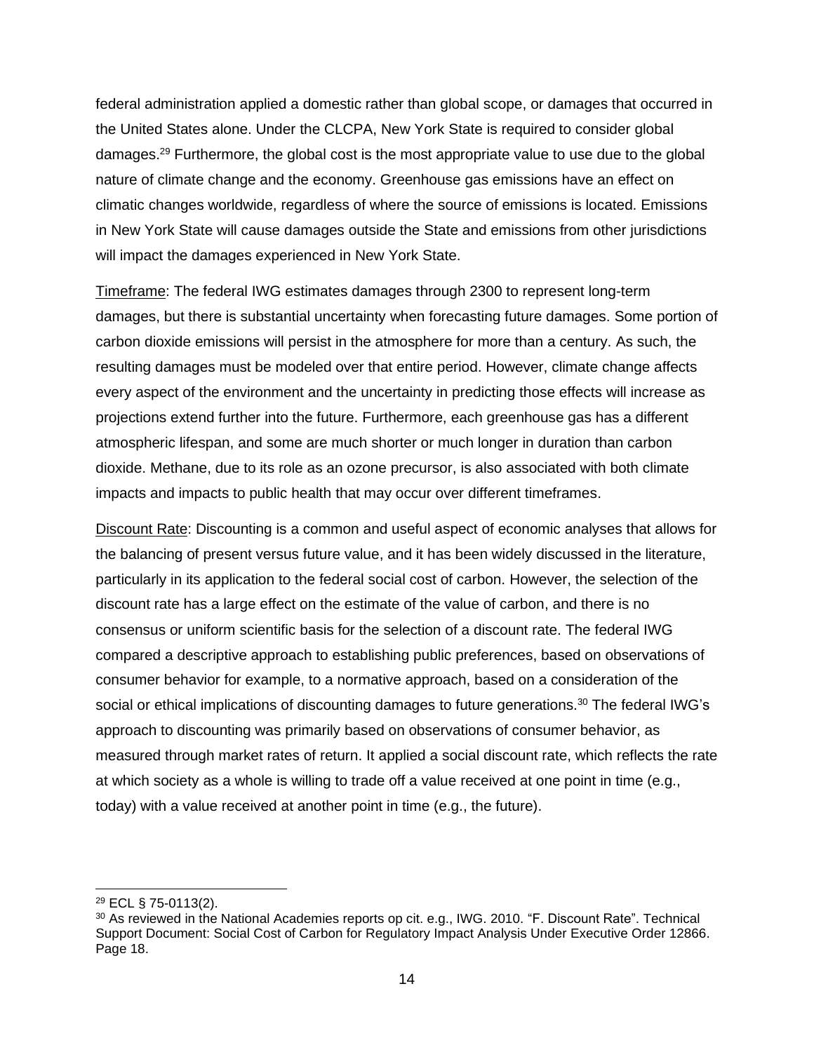federal administration applied a domestic rather than global scope, or damages that occurred in the United States alone. Under the CLCPA, New York State is required to consider global damages.<sup>29</sup> Furthermore, the global cost is the most appropriate value to use due to the global nature of climate change and the economy. Greenhouse gas emissions have an effect on climatic changes worldwide, regardless of where the source of emissions is located. Emissions in New York State will cause damages outside the State and emissions from other jurisdictions will impact the damages experienced in New York State.

Timeframe: The federal IWG estimates damages through 2300 to represent long-term damages, but there is substantial uncertainty when forecasting future damages. Some portion of carbon dioxide emissions will persist in the atmosphere for more than a century. As such, the resulting damages must be modeled over that entire period. However, climate change affects every aspect of the environment and the uncertainty in predicting those effects will increase as projections extend further into the future. Furthermore, each greenhouse gas has a different atmospheric lifespan, and some are much shorter or much longer in duration than carbon dioxide. Methane, due to its role as an ozone precursor, is also associated with both climate impacts and impacts to public health that may occur over different timeframes.

Discount Rate: Discounting is a common and useful aspect of economic analyses that allows for the balancing of present versus future value, and it has been widely discussed in the literature, particularly in its application to the federal social cost of carbon. However, the selection of the discount rate has a large effect on the estimate of the value of carbon, and there is no consensus or uniform scientific basis for the selection of a discount rate. The federal IWG compared a descriptive approach to establishing public preferences, based on observations of consumer behavior for example, to a normative approach, based on a consideration of the social or ethical implications of discounting damages to future generations.<sup>30</sup> The federal IWG's approach to discounting was primarily based on observations of consumer behavior, as measured through market rates of return. It applied a social discount rate, which reflects the rate at which society as a whole is willing to trade off a value received at one point in time (e.g., today) with a value received at another point in time (e.g., the future).

<sup>29</sup> ECL § 75-0113(2).

<sup>30</sup> As reviewed in the National Academies reports op cit. e.g., IWG. 2010. "F. Discount Rate". Technical Support Document: Social Cost of Carbon for Regulatory Impact Analysis Under Executive Order 12866. Page 18.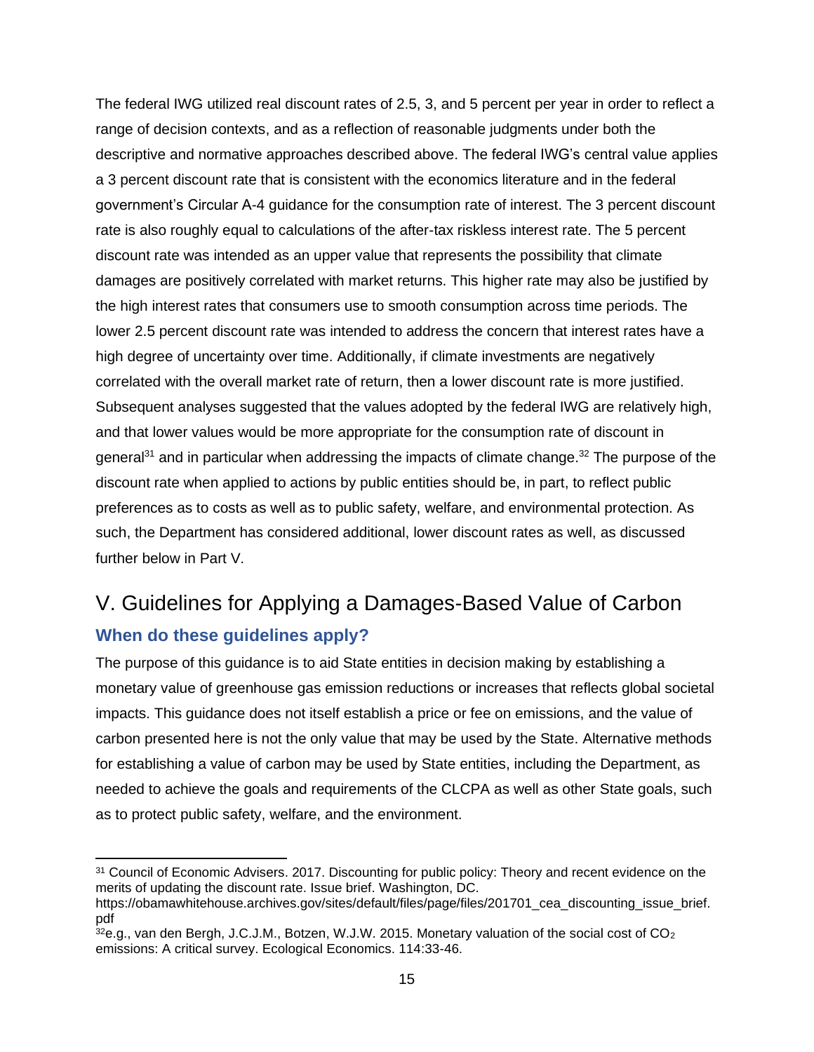The federal IWG utilized real discount rates of 2.5, 3, and 5 percent per year in order to reflect a range of decision contexts, and as a reflection of reasonable judgments under both the descriptive and normative approaches described above. The federal IWG's central value applies a 3 percent discount rate that is consistent with the economics literature and in the federal government's Circular A-4 guidance for the consumption rate of interest. The 3 percent discount rate is also roughly equal to calculations of the after-tax riskless interest rate. The 5 percent discount rate was intended as an upper value that represents the possibility that climate damages are positively correlated with market returns. This higher rate may also be justified by the high interest rates that consumers use to smooth consumption across time periods. The lower 2.5 percent discount rate was intended to address the concern that interest rates have a high degree of uncertainty over time. Additionally, if climate investments are negatively correlated with the overall market rate of return, then a lower discount rate is more justified. Subsequent analyses suggested that the values adopted by the federal IWG are relatively high, and that lower values would be more appropriate for the consumption rate of discount in general<sup>31</sup> and in particular when addressing the impacts of climate change.<sup>32</sup> The purpose of the discount rate when applied to actions by public entities should be, in part, to reflect public preferences as to costs as well as to public safety, welfare, and environmental protection. As such, the Department has considered additional, lower discount rates as well, as discussed further below in Part V.

## <span id="page-14-0"></span>V. Guidelines for Applying a Damages-Based Value of Carbon **When do these guidelines apply?**

<span id="page-14-1"></span>The purpose of this guidance is to aid State entities in decision making by establishing a monetary value of greenhouse gas emission reductions or increases that reflects global societal impacts. This guidance does not itself establish a price or fee on emissions, and the value of carbon presented here is not the only value that may be used by the State. Alternative methods for establishing a value of carbon may be used by State entities, including the Department, as needed to achieve the goals and requirements of the CLCPA as well as other State goals, such as to protect public safety, welfare, and the environment.

<sup>31</sup> Council of Economic Advisers. 2017. Discounting for public policy: Theory and recent evidence on the merits of updating the discount rate. Issue brief. Washington, DC.

https://obamawhitehouse.archives.gov/sites/default/files/page/files/201701\_cea\_discounting\_issue\_brief. pdf

 $32$ e.g., van den Bergh, J.C.J.M., Botzen, W.J.W. 2015. Monetary valuation of the social cost of CO<sub>2</sub> emissions: A critical survey. Ecological Economics. 114:33-46.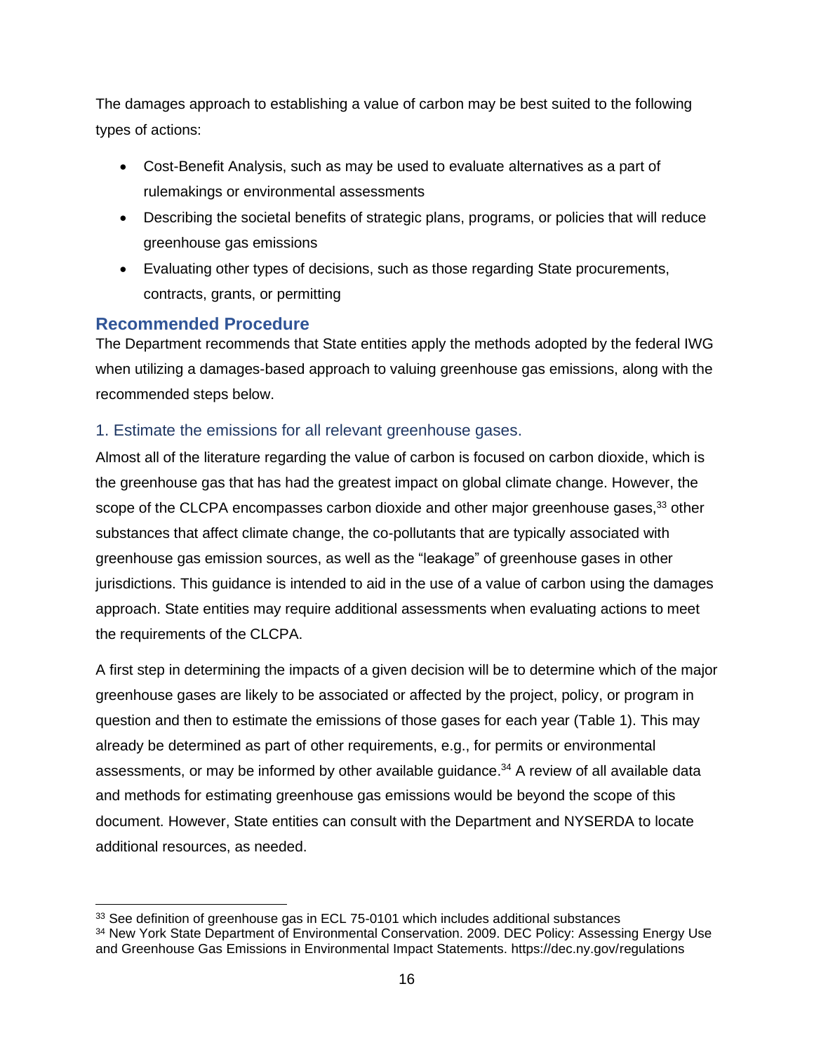The damages approach to establishing a value of carbon may be best suited to the following types of actions:

- Cost-Benefit Analysis, such as may be used to evaluate alternatives as a part of rulemakings or environmental assessments
- Describing the societal benefits of strategic plans, programs, or policies that will reduce greenhouse gas emissions
- Evaluating other types of decisions, such as those regarding State procurements, contracts, grants, or permitting

### <span id="page-15-0"></span>**Recommended Procedure**

The Department recommends that State entities apply the methods adopted by the federal IWG when utilizing a damages-based approach to valuing greenhouse gas emissions, along with the recommended steps below.

### <span id="page-15-1"></span>1. Estimate the emissions for all relevant greenhouse gases.

Almost all of the literature regarding the value of carbon is focused on carbon dioxide, which is the greenhouse gas that has had the greatest impact on global climate change. However, the scope of the CLCPA encompasses carbon dioxide and other major greenhouse gases,<sup>33</sup> other substances that affect climate change, the co-pollutants that are typically associated with greenhouse gas emission sources, as well as the "leakage" of greenhouse gases in other jurisdictions. This guidance is intended to aid in the use of a value of carbon using the damages approach. State entities may require additional assessments when evaluating actions to meet the requirements of the CLCPA.

A first step in determining the impacts of a given decision will be to determine which of the major greenhouse gases are likely to be associated or affected by the project, policy, or program in question and then to estimate the emissions of those gases for each year (Table 1). This may already be determined as part of other requirements, e.g., for permits or environmental assessments, or may be informed by other available guidance.<sup>34</sup> A review of all available data and methods for estimating greenhouse gas emissions would be beyond the scope of this document. However, State entities can consult with the Department and NYSERDA to locate additional resources, as needed.

<sup>&</sup>lt;sup>33</sup> See definition of greenhouse gas in ECL 75-0101 which includes additional substances

<sup>&</sup>lt;sup>34</sup> New York State Department of Environmental Conservation. 2009. DEC Policy: Assessing Energy Use and Greenhouse Gas Emissions in Environmental Impact Statements. https://dec.ny.gov/regulations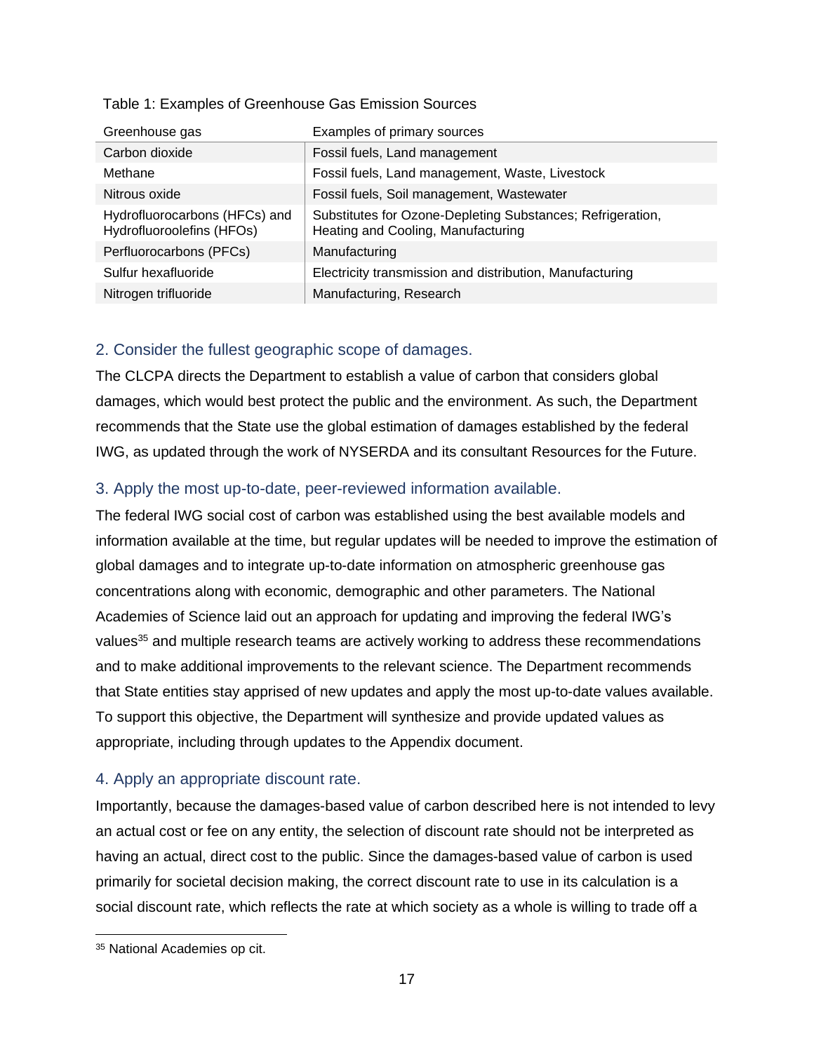| Greenhouse gas                                             | Examples of primary sources                                                                      |
|------------------------------------------------------------|--------------------------------------------------------------------------------------------------|
| Carbon dioxide                                             | Fossil fuels, Land management                                                                    |
| Methane                                                    | Fossil fuels, Land management, Waste, Livestock                                                  |
| Nitrous oxide                                              | Fossil fuels, Soil management, Wastewater                                                        |
| Hydrofluorocarbons (HFCs) and<br>Hydrofluoroolefins (HFOs) | Substitutes for Ozone-Depleting Substances; Refrigeration,<br>Heating and Cooling, Manufacturing |
| Perfluorocarbons (PFCs)                                    | Manufacturing                                                                                    |
| Sulfur hexafluoride                                        | Electricity transmission and distribution, Manufacturing                                         |
| Nitrogen trifluoride                                       | Manufacturing, Research                                                                          |

#### Table 1: Examples of Greenhouse Gas Emission Sources

#### <span id="page-16-0"></span>2. Consider the fullest geographic scope of damages.

The CLCPA directs the Department to establish a value of carbon that considers global damages, which would best protect the public and the environment. As such, the Department recommends that the State use the global estimation of damages established by the federal IWG, as updated through the work of NYSERDA and its consultant Resources for the Future.

### <span id="page-16-1"></span>3. Apply the most up-to-date, peer-reviewed information available.

The federal IWG social cost of carbon was established using the best available models and information available at the time, but regular updates will be needed to improve the estimation of global damages and to integrate up-to-date information on atmospheric greenhouse gas concentrations along with economic, demographic and other parameters. The National Academies of Science laid out an approach for updating and improving the federal IWG's values<sup>35</sup> and multiple research teams are actively working to address these recommendations and to make additional improvements to the relevant science. The Department recommends that State entities stay apprised of new updates and apply the most up-to-date values available. To support this objective, the Department will synthesize and provide updated values as appropriate, including through updates to the Appendix document.

### <span id="page-16-2"></span>4. Apply an appropriate discount rate.

Importantly, because the damages-based value of carbon described here is not intended to levy an actual cost or fee on any entity, the selection of discount rate should not be interpreted as having an actual, direct cost to the public. Since the damages-based value of carbon is used primarily for societal decision making, the correct discount rate to use in its calculation is a social discount rate, which reflects the rate at which society as a whole is willing to trade off a

<sup>35</sup> National Academies op cit.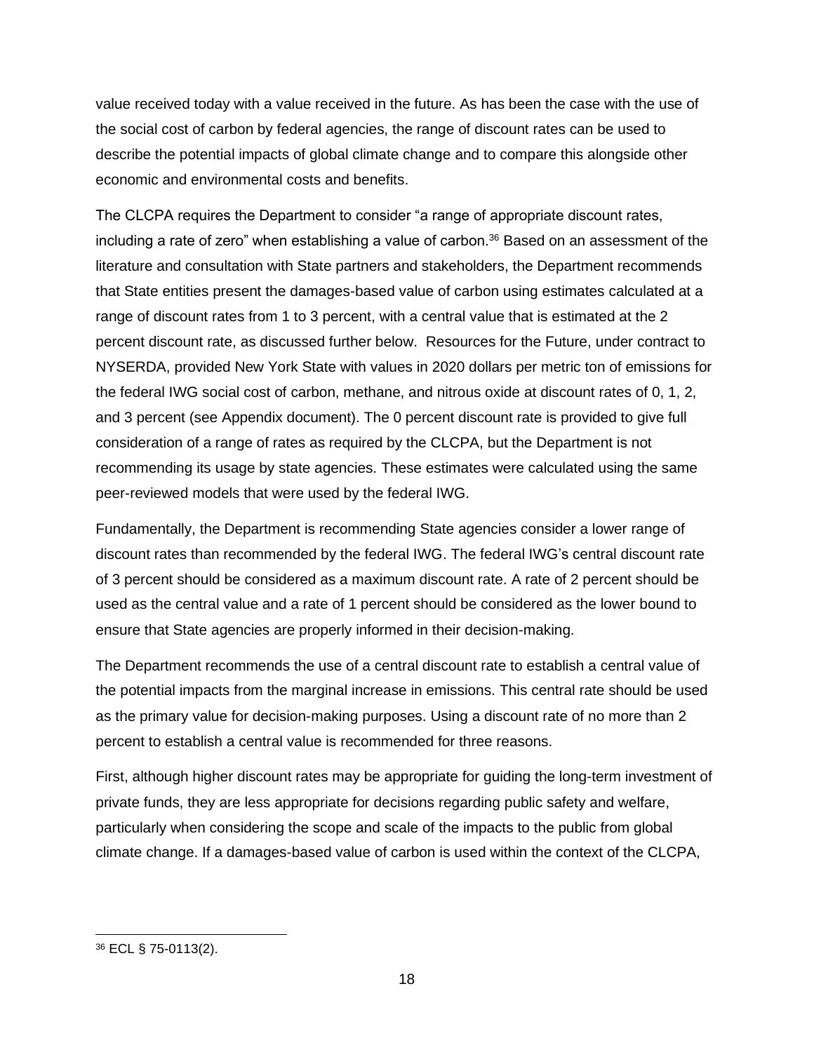value received today with a value received in the future. As has been the case with the use of the social cost of carbon by federal agencies, the range of discount rates can be used to describe the potential impacts of global climate change and to compare this alongside other economic and environmental costs and benefits.

The CLCPA requires the Department to consider "a range of appropriate discount rates, including a rate of zero" when establishing a value of carbon.<sup>36</sup> Based on an assessment of the literature and consultation with State partners and stakeholders, the Department recommends that State entities present the damages-based value of carbon using estimates calculated at a range of discount rates from 1 to 3 percent, with a central value that is estimated at the 2 percent discount rate, as discussed further below. Resources for the Future, under contract to NYSERDA, provided New York State with values in 2020 dollars per metric ton of emissions for the federal IWG social cost of carbon, methane, and nitrous oxide at discount rates of 0, 1, 2, and 3 percent (see Appendix document). The 0 percent discount rate is provided to give full consideration of a range of rates as required by the CLCPA, but the Department is not recommending its usage by state agencies. These estimates were calculated using the same peer-reviewed models that were used by the federal IWG.

Fundamentally, the Department is recommending State agencies consider a lower range of discount rates than recommended by the federal IWG. The federal IWG's central discount rate of 3 percent should be considered as a maximum discount rate. A rate of 2 percent should be used as the central value and a rate of 1 percent should be considered as the lower bound to ensure that State agencies are properly informed in their decision-making.

The Department recommends the use of a central discount rate to establish a central value of the potential impacts from the marginal increase in emissions. This central rate should be used as the primary value for decision-making purposes. Using a discount rate of no more than 2 percent to establish a central value is recommended for three reasons.

First, although higher discount rates may be appropriate for guiding the long-term investment of private funds, they are less appropriate for decisions regarding public safety and welfare, particularly when considering the scope and scale of the impacts to the public from global climate change. If a damages-based value of carbon is used within the context of the CLCPA,

<sup>36</sup> ECL § 75-0113(2).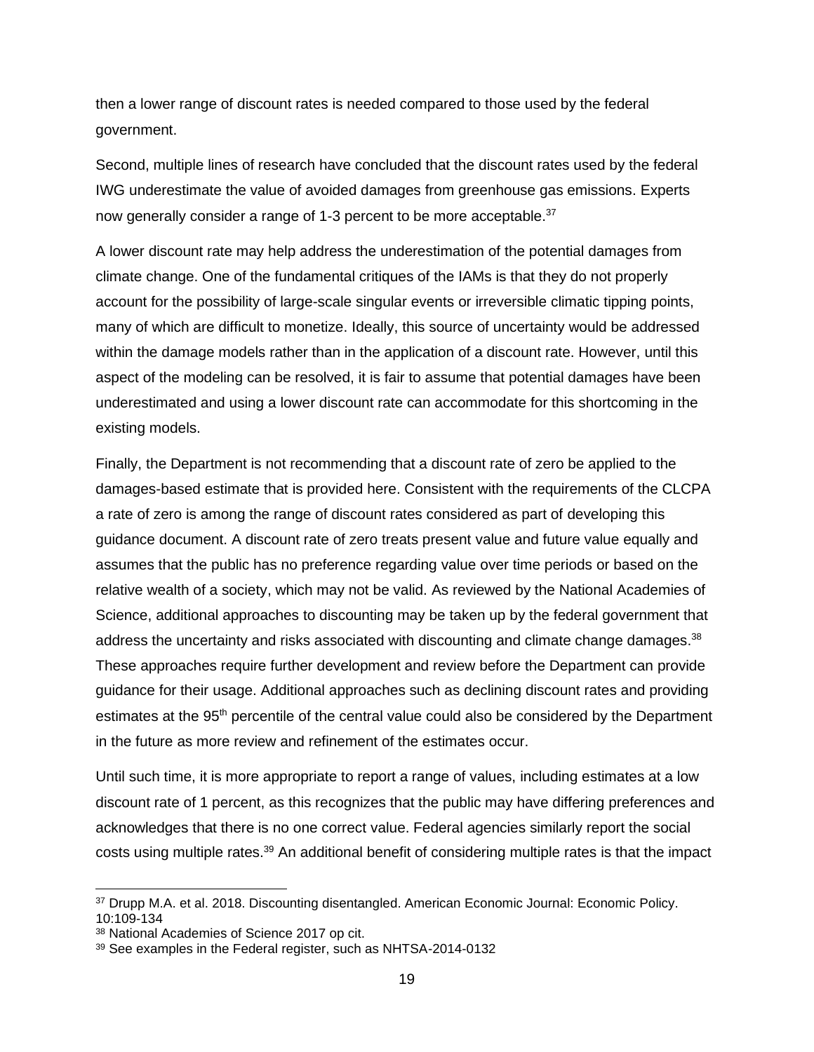then a lower range of discount rates is needed compared to those used by the federal government.

Second, multiple lines of research have concluded that the discount rates used by the federal IWG underestimate the value of avoided damages from greenhouse gas emissions. Experts now generally consider a range of 1-3 percent to be more acceptable.<sup>37</sup>

A lower discount rate may help address the underestimation of the potential damages from climate change. One of the fundamental critiques of the IAMs is that they do not properly account for the possibility of large-scale singular events or irreversible climatic tipping points, many of which are difficult to monetize. Ideally, this source of uncertainty would be addressed within the damage models rather than in the application of a discount rate. However, until this aspect of the modeling can be resolved, it is fair to assume that potential damages have been underestimated and using a lower discount rate can accommodate for this shortcoming in the existing models.

Finally, the Department is not recommending that a discount rate of zero be applied to the damages-based estimate that is provided here. Consistent with the requirements of the CLCPA a rate of zero is among the range of discount rates considered as part of developing this guidance document. A discount rate of zero treats present value and future value equally and assumes that the public has no preference regarding value over time periods or based on the relative wealth of a society, which may not be valid. As reviewed by the National Academies of Science, additional approaches to discounting may be taken up by the federal government that address the uncertainty and risks associated with discounting and climate change damages.<sup>38</sup> These approaches require further development and review before the Department can provide guidance for their usage. Additional approaches such as declining discount rates and providing estimates at the 95<sup>th</sup> percentile of the central value could also be considered by the Department in the future as more review and refinement of the estimates occur.

Until such time, it is more appropriate to report a range of values, including estimates at a low discount rate of 1 percent, as this recognizes that the public may have differing preferences and acknowledges that there is no one correct value. Federal agencies similarly report the social costs using multiple rates.<sup>39</sup> An additional benefit of considering multiple rates is that the impact

<sup>37</sup> Drupp M.A. et al. 2018. Discounting disentangled. American Economic Journal: Economic Policy. 10:109-134

<sup>38</sup> National Academies of Science 2017 op cit.

<sup>39</sup> See examples in the Federal register, such as NHTSA-2014-0132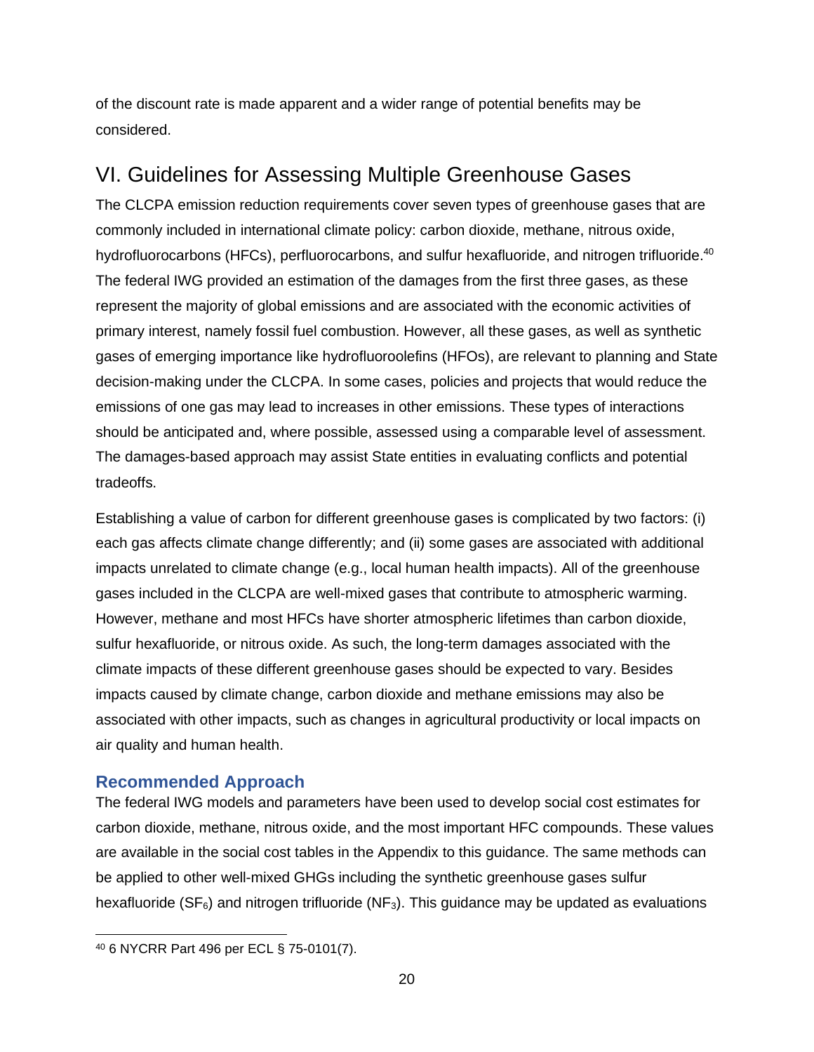of the discount rate is made apparent and a wider range of potential benefits may be considered.

### <span id="page-19-0"></span>VI. Guidelines for Assessing Multiple Greenhouse Gases

The CLCPA emission reduction requirements cover seven types of greenhouse gases that are commonly included in international climate policy: carbon dioxide, methane, nitrous oxide, hydrofluorocarbons (HFCs), perfluorocarbons, and sulfur hexafluoride, and nitrogen trifluoride.<sup>40</sup> The federal IWG provided an estimation of the damages from the first three gases, as these represent the majority of global emissions and are associated with the economic activities of primary interest, namely fossil fuel combustion. However, all these gases, as well as synthetic gases of emerging importance like hydrofluoroolefins (HFOs), are relevant to planning and State decision-making under the CLCPA. In some cases, policies and projects that would reduce the emissions of one gas may lead to increases in other emissions. These types of interactions should be anticipated and, where possible, assessed using a comparable level of assessment. The damages-based approach may assist State entities in evaluating conflicts and potential tradeoffs.

Establishing a value of carbon for different greenhouse gases is complicated by two factors: (i) each gas affects climate change differently; and (ii) some gases are associated with additional impacts unrelated to climate change (e.g., local human health impacts). All of the greenhouse gases included in the CLCPA are well-mixed gases that contribute to atmospheric warming. However, methane and most HFCs have shorter atmospheric lifetimes than carbon dioxide, sulfur hexafluoride, or nitrous oxide. As such, the long-term damages associated with the climate impacts of these different greenhouse gases should be expected to vary. Besides impacts caused by climate change, carbon dioxide and methane emissions may also be associated with other impacts, such as changes in agricultural productivity or local impacts on air quality and human health.

### <span id="page-19-1"></span>**Recommended Approach**

The federal IWG models and parameters have been used to develop social cost estimates for carbon dioxide, methane, nitrous oxide, and the most important HFC compounds. These values are available in the social cost tables in the Appendix to this guidance. The same methods can be applied to other well-mixed GHGs including the synthetic greenhouse gases sulfur hexafluoride (SF $_6$ ) and nitrogen trifluoride (NF $_3$ ). This guidance may be updated as evaluations

<sup>40</sup> 6 NYCRR Part 496 per ECL § 75-0101(7).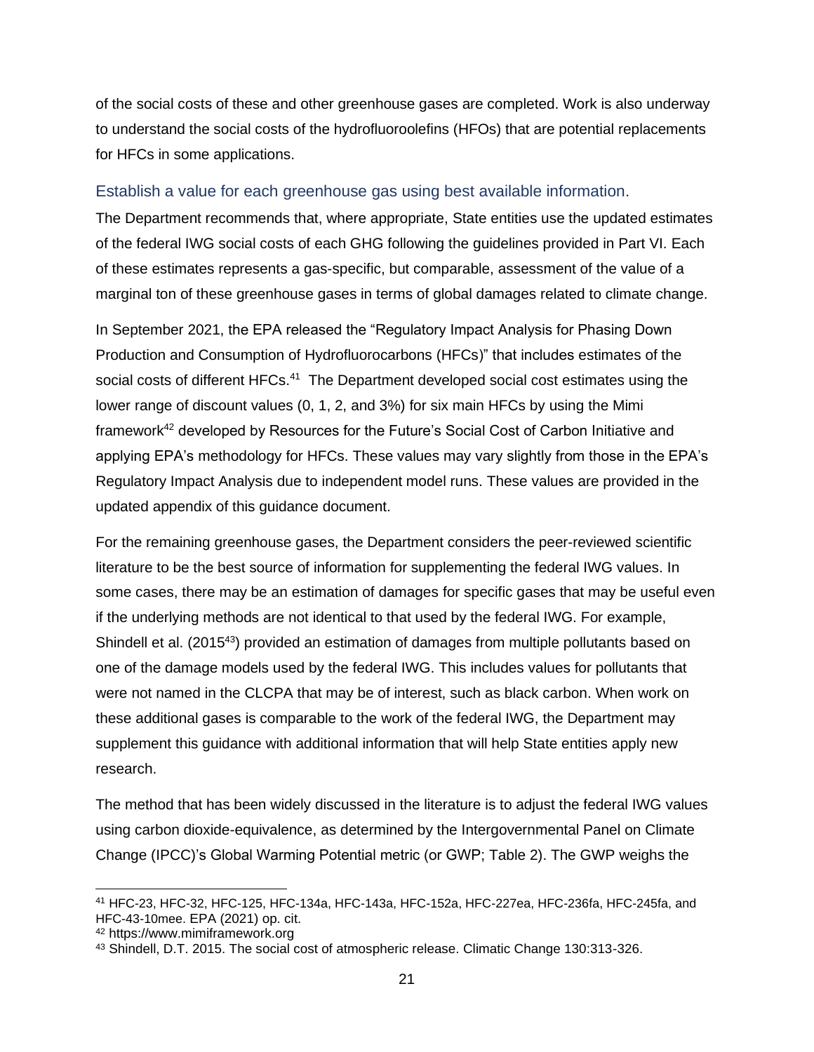of the social costs of these and other greenhouse gases are completed. Work is also underway to understand the social costs of the hydrofluoroolefins (HFOs) that are potential replacements for HFCs in some applications.

#### <span id="page-20-0"></span>Establish a value for each greenhouse gas using best available information.

The Department recommends that, where appropriate, State entities use the updated estimates of the federal IWG social costs of each GHG following the guidelines provided in Part VI. Each of these estimates represents a gas-specific, but comparable, assessment of the value of a marginal ton of these greenhouse gases in terms of global damages related to climate change.

In September 2021, the EPA released the "Regulatory Impact Analysis for Phasing Down Production and Consumption of Hydrofluorocarbons (HFCs)" that includes estimates of the social costs of different HFCs.<sup>41</sup> The Department developed social cost estimates using the lower range of discount values (0, 1, 2, and 3%) for six main HFCs by using the Mimi framework<sup>42</sup> developed by Resources for the Future's Social Cost of Carbon Initiative and applying EPA's methodology for HFCs. These values may vary slightly from those in the EPA's Regulatory Impact Analysis due to independent model runs. These values are provided in the updated appendix of this guidance document.

For the remaining greenhouse gases, the Department considers the peer-reviewed scientific literature to be the best source of information for supplementing the federal IWG values. In some cases, there may be an estimation of damages for specific gases that may be useful even if the underlying methods are not identical to that used by the federal IWG. For example, Shindell et al. (2015<sup>43</sup>) provided an estimation of damages from multiple pollutants based on one of the damage models used by the federal IWG. This includes values for pollutants that were not named in the CLCPA that may be of interest, such as black carbon. When work on these additional gases is comparable to the work of the federal IWG, the Department may supplement this guidance with additional information that will help State entities apply new research.

The method that has been widely discussed in the literature is to adjust the federal IWG values using carbon dioxide-equivalence, as determined by the Intergovernmental Panel on Climate Change (IPCC)'s Global Warming Potential metric (or GWP; Table 2). The GWP weighs the

<sup>41</sup> HFC-23, HFC-32, HFC-125, HFC-134a, HFC-143a, HFC-152a, HFC-227ea, HFC-236fa, HFC-245fa, and HFC-43-10mee. EPA (2021) op. cit.

<sup>42</sup> https://www.mimiframework.org

<sup>43</sup> Shindell, D.T. 2015. The social cost of atmospheric release. Climatic Change 130:313-326.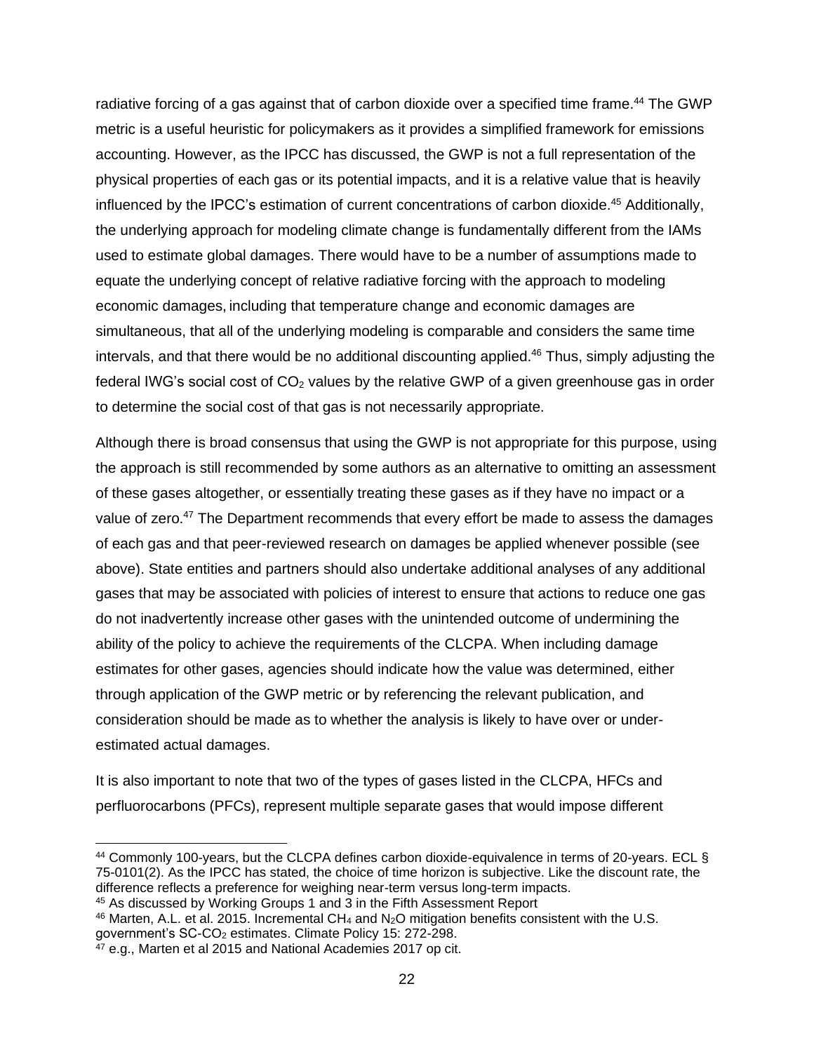radiative forcing of a gas against that of carbon dioxide over a specified time frame.<sup>44</sup> The GWP metric is a useful heuristic for policymakers as it provides a simplified framework for emissions accounting. However, as the IPCC has discussed, the GWP is not a full representation of the physical properties of each gas or its potential impacts, and it is a relative value that is heavily influenced by the IPCC's estimation of current concentrations of carbon dioxide. <sup>45</sup> Additionally, the underlying approach for modeling climate change is fundamentally different from the IAMs used to estimate global damages. There would have to be a number of assumptions made to equate the underlying concept of relative radiative forcing with the approach to modeling economic damages, including that temperature change and economic damages are simultaneous, that all of the underlying modeling is comparable and considers the same time intervals, and that there would be no additional discounting applied.<sup>46</sup> Thus, simply adjusting the federal IWG's social cost of  $CO<sub>2</sub>$  values by the relative GWP of a given greenhouse gas in order to determine the social cost of that gas is not necessarily appropriate.

Although there is broad consensus that using the GWP is not appropriate for this purpose, using the approach is still recommended by some authors as an alternative to omitting an assessment of these gases altogether, or essentially treating these gases as if they have no impact or a value of zero.<sup>47</sup> The Department recommends that every effort be made to assess the damages of each gas and that peer-reviewed research on damages be applied whenever possible (see above). State entities and partners should also undertake additional analyses of any additional gases that may be associated with policies of interest to ensure that actions to reduce one gas do not inadvertently increase other gases with the unintended outcome of undermining the ability of the policy to achieve the requirements of the CLCPA. When including damage estimates for other gases, agencies should indicate how the value was determined, either through application of the GWP metric or by referencing the relevant publication, and consideration should be made as to whether the analysis is likely to have over or underestimated actual damages.

It is also important to note that two of the types of gases listed in the CLCPA, HFCs and perfluorocarbons (PFCs), represent multiple separate gases that would impose different

<sup>44</sup> Commonly 100-years, but the CLCPA defines carbon dioxide-equivalence in terms of 20-years. ECL § 75-0101(2). As the IPCC has stated, the choice of time horizon is subjective. Like the discount rate, the difference reflects a preference for weighing near-term versus long-term impacts.

<sup>45</sup> As discussed by Working Groups 1 and 3 in the Fifth Assessment Report

<sup>46</sup> Marten, A.L. et al. 2015. Incremental CH<sup>4</sup> and N2O mitigation benefits consistent with the U.S. government's SC-CO<sup>2</sup> estimates. Climate Policy 15: 272-298.

 $47$  e.g., Marten et al 2015 and National Academies 2017 op cit.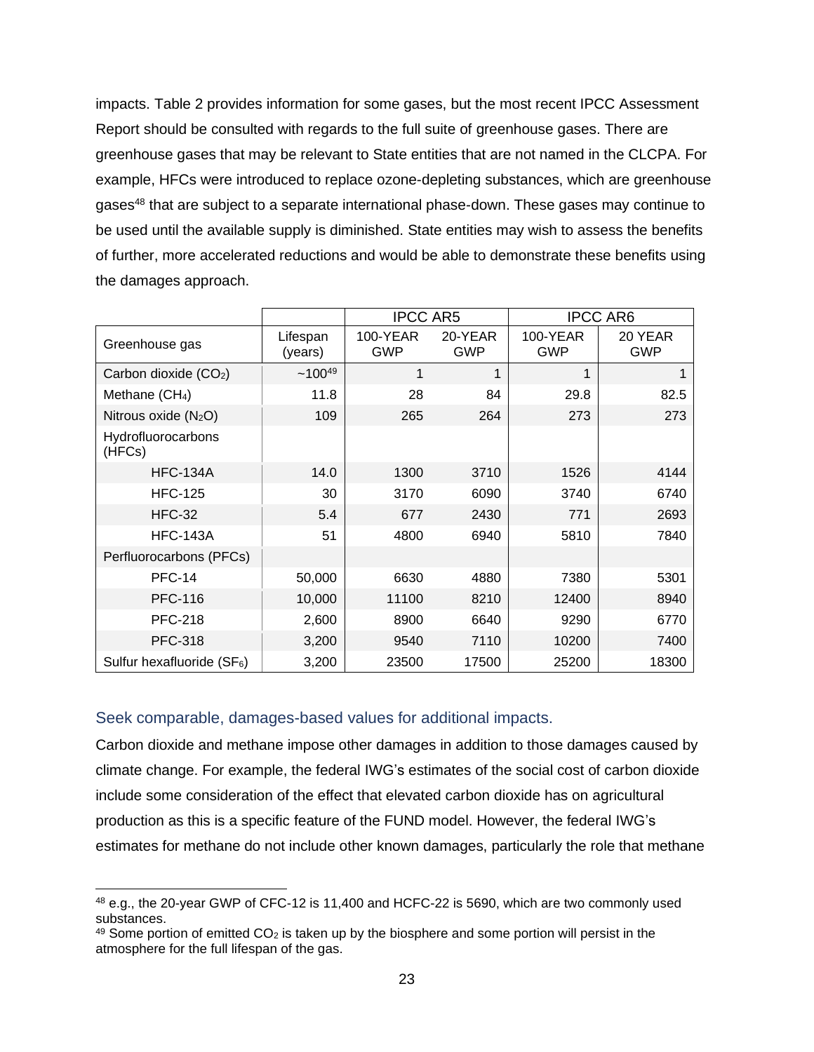impacts. Table 2 provides information for some gases, but the most recent IPCC Assessment Report should be consulted with regards to the full suite of greenhouse gases. There are greenhouse gases that may be relevant to State entities that are not named in the CLCPA. For example, HFCs were introduced to replace ozone-depleting substances, which are greenhouse gases<sup>48</sup> that are subject to a separate international phase-down. These gases may continue to be used until the available supply is diminished. State entities may wish to assess the benefits of further, more accelerated reductions and would be able to demonstrate these benefits using the damages approach.

|                                        |                     | <b>IPCC AR5</b>        |                       |                        | <b>IPCC AR6</b> |
|----------------------------------------|---------------------|------------------------|-----------------------|------------------------|-----------------|
| Greenhouse gas                         | Lifespan<br>(years) | 100-YEAR<br><b>GWP</b> | 20-YEAR<br><b>GWP</b> | 100-YEAR<br><b>GWP</b> | 20 YEAR<br>GWP  |
| Carbon dioxide $(CO2)$                 | $~100^{49}$         | 1                      | 1                     | 1                      | 1               |
| Methane (CH <sub>4</sub> )             | 11.8                | 28                     | 84                    | 29.8                   | 82.5            |
| Nitrous oxide $(N_2O)$                 | 109                 | 265                    | 264                   | 273                    | 273             |
| Hydrofluorocarbons<br>(HFCs)           |                     |                        |                       |                        |                 |
| <b>HFC-134A</b>                        | 14.0                | 1300                   | 3710                  | 1526                   | 4144            |
| <b>HFC-125</b>                         | 30                  | 3170                   | 6090                  | 3740                   | 6740            |
| <b>HFC-32</b>                          | 5.4                 | 677                    | 2430                  | 771                    | 2693            |
| <b>HFC-143A</b>                        | 51                  | 4800                   | 6940                  | 5810                   | 7840            |
| Perfluorocarbons (PFCs)                |                     |                        |                       |                        |                 |
| <b>PFC-14</b>                          | 50,000              | 6630                   | 4880                  | 7380                   | 5301            |
| <b>PFC-116</b>                         | 10,000              | 11100                  | 8210                  | 12400                  | 8940            |
| <b>PFC-218</b>                         | 2,600               | 8900                   | 6640                  | 9290                   | 6770            |
| <b>PFC-318</b>                         | 3,200               | 9540                   | 7110                  | 10200                  | 7400            |
| Sulfur hexafluoride (SF <sub>6</sub> ) | 3,200               | 23500                  | 17500                 | 25200                  | 18300           |

#### <span id="page-22-0"></span>Seek comparable, damages-based values for additional impacts.

Carbon dioxide and methane impose other damages in addition to those damages caused by climate change. For example, the federal IWG's estimates of the social cost of carbon dioxide include some consideration of the effect that elevated carbon dioxide has on agricultural production as this is a specific feature of the FUND model. However, the federal IWG's estimates for methane do not include other known damages, particularly the role that methane

<sup>48</sup> e.g., the 20-year GWP of CFC-12 is 11,400 and HCFC-22 is 5690, which are two commonly used substances.

 $49$  Some portion of emitted CO<sub>2</sub> is taken up by the biosphere and some portion will persist in the atmosphere for the full lifespan of the gas.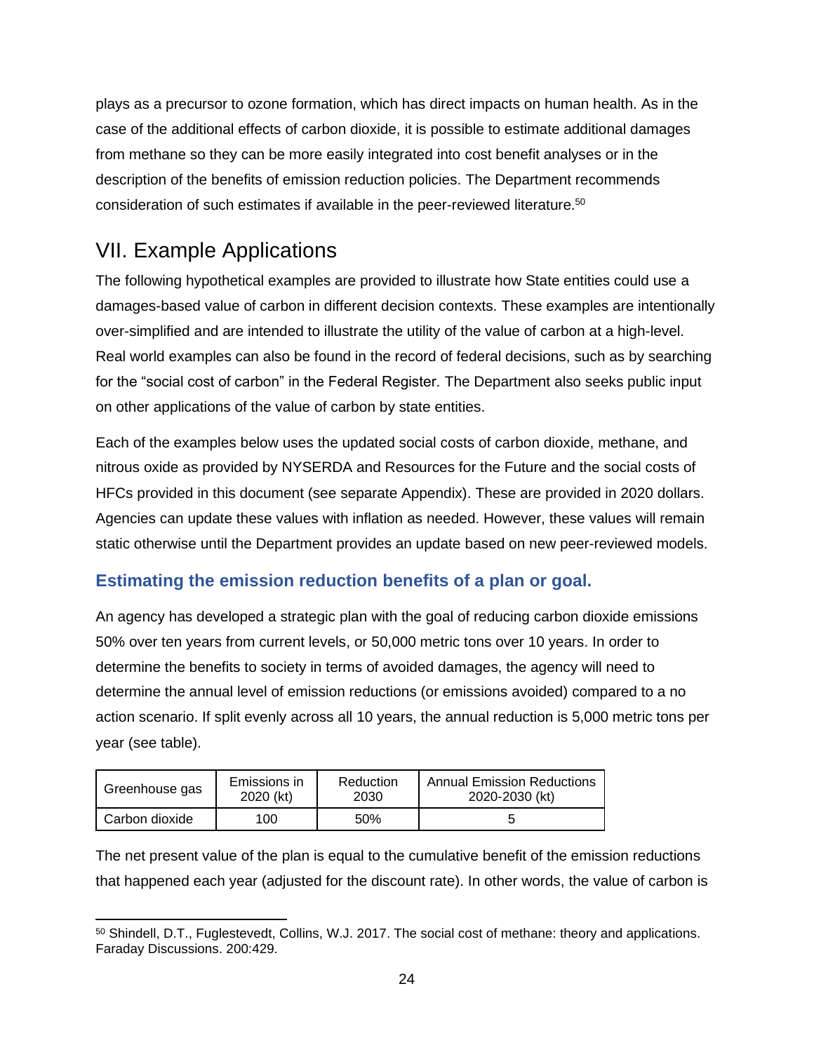plays as a precursor to ozone formation, which has direct impacts on human health. As in the case of the additional effects of carbon dioxide, it is possible to estimate additional damages from methane so they can be more easily integrated into cost benefit analyses or in the description of the benefits of emission reduction policies. The Department recommends consideration of such estimates if available in the peer-reviewed literature. 50

## <span id="page-23-0"></span>VII. Example Applications

The following hypothetical examples are provided to illustrate how State entities could use a damages-based value of carbon in different decision contexts. These examples are intentionally over-simplified and are intended to illustrate the utility of the value of carbon at a high-level. Real world examples can also be found in the record of federal decisions, such as by searching for the "social cost of carbon" in the Federal Register. The Department also seeks public input on other applications of the value of carbon by state entities.

Each of the examples below uses the updated social costs of carbon dioxide, methane, and nitrous oxide as provided by NYSERDA and Resources for the Future and the social costs of HFCs provided in this document (see separate Appendix). These are provided in 2020 dollars. Agencies can update these values with inflation as needed. However, these values will remain static otherwise until the Department provides an update based on new peer-reviewed models.

### <span id="page-23-1"></span>**Estimating the emission reduction benefits of a plan or goal.**

An agency has developed a strategic plan with the goal of reducing carbon dioxide emissions 50% over ten years from current levels, or 50,000 metric tons over 10 years. In order to determine the benefits to society in terms of avoided damages, the agency will need to determine the annual level of emission reductions (or emissions avoided) compared to a no action scenario. If split evenly across all 10 years, the annual reduction is 5,000 metric tons per year (see table).

| Greenhouse gas | Emissions in | Reduction | <b>Annual Emission Reductions</b> |
|----------------|--------------|-----------|-----------------------------------|
|                | 2020 (kt)    | 2030      | 2020-2030 (kt)                    |
| Carbon dioxide | 100          | 50%       |                                   |

The net present value of the plan is equal to the cumulative benefit of the emission reductions that happened each year (adjusted for the discount rate). In other words, the value of carbon is

<sup>50</sup> Shindell, D.T., Fuglestevedt, Collins, W.J. 2017. The social cost of methane: theory and applications. Faraday Discussions. 200:429.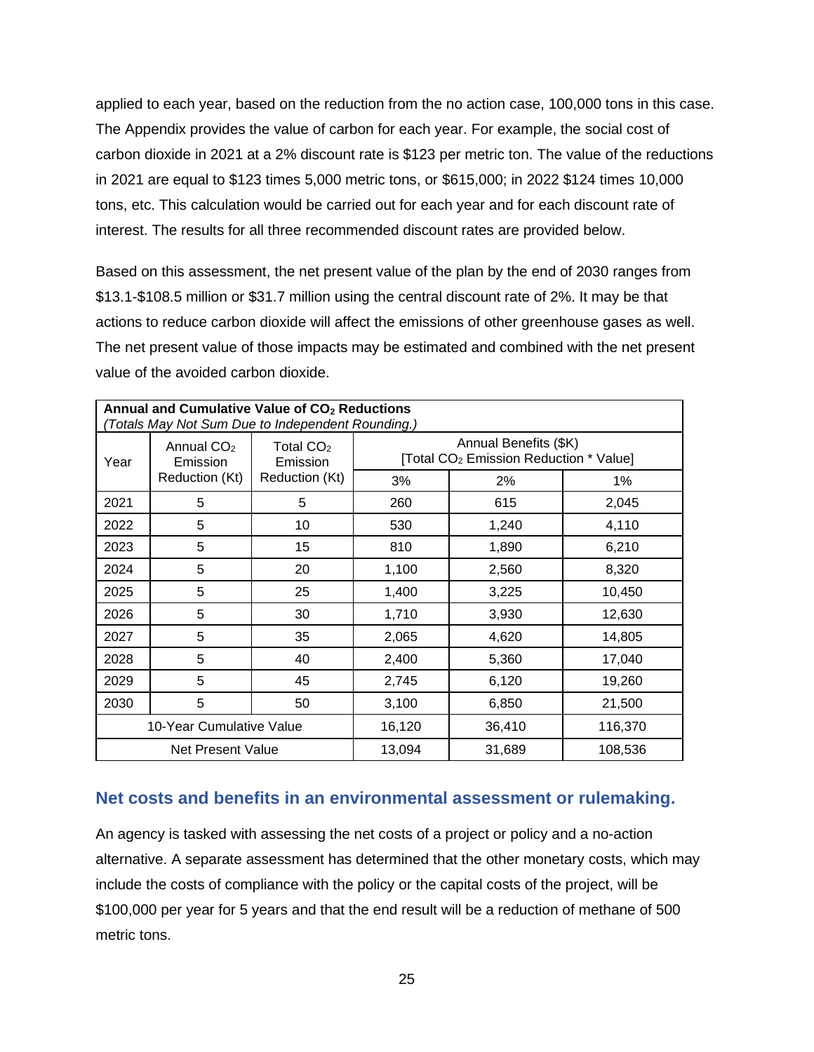applied to each year, based on the reduction from the no action case, 100,000 tons in this case. The Appendix provides the value of carbon for each year. For example, the social cost of carbon dioxide in 2021 at a 2% discount rate is \$123 per metric ton. The value of the reductions in 2021 are equal to \$123 times 5,000 metric tons, or \$615,000; in 2022 \$124 times 10,000 tons, etc. This calculation would be carried out for each year and for each discount rate of interest. The results for all three recommended discount rates are provided below.

Based on this assessment, the net present value of the plan by the end of 2030 ranges from \$13.1-\$108.5 million or \$31.7 million using the central discount rate of 2%. It may be that actions to reduce carbon dioxide will affect the emissions of other greenhouse gases as well. The net present value of those impacts may be estimated and combined with the net present value of the avoided carbon dioxide.

| Annual and Cumulative Value of CO <sub>2</sub> Reductions<br>(Totals May Not Sum Due to Independent Rounding.) |                          |                         |                                                                             |        |         |  |  |
|----------------------------------------------------------------------------------------------------------------|--------------------------|-------------------------|-----------------------------------------------------------------------------|--------|---------|--|--|
| Year                                                                                                           | Annual $CO2$<br>Emission | Total $CO2$<br>Emission | Annual Benefits (\$K)<br>[Total CO <sub>2</sub> Emission Reduction * Value] |        |         |  |  |
|                                                                                                                | Reduction (Kt)           | Reduction (Kt)          | 3%                                                                          | 2%     | 1%      |  |  |
| 2021                                                                                                           | 5                        | 5                       | 260                                                                         | 615    | 2,045   |  |  |
| 2022                                                                                                           | 5                        | 10                      | 530                                                                         | 1,240  | 4,110   |  |  |
| 2023                                                                                                           | 5                        | 15                      | 810                                                                         | 1,890  | 6,210   |  |  |
| 2024                                                                                                           | 5                        | 20                      | 1,100                                                                       | 2,560  | 8,320   |  |  |
| 2025                                                                                                           | 5                        | 25                      | 1,400                                                                       | 3,225  | 10,450  |  |  |
| 2026                                                                                                           | 5                        | 30                      | 1,710                                                                       | 3,930  | 12,630  |  |  |
| 2027                                                                                                           | 5                        | 35                      | 2,065                                                                       | 4,620  | 14,805  |  |  |
| 2028                                                                                                           | 5                        | 40                      | 2,400                                                                       | 5,360  | 17,040  |  |  |
| 2029                                                                                                           | 5                        | 45                      | 2,745                                                                       | 6,120  | 19,260  |  |  |
| 2030                                                                                                           | 5                        | 50                      | 3,100                                                                       | 6,850  | 21,500  |  |  |
|                                                                                                                | 10-Year Cumulative Value |                         | 16,120                                                                      | 36,410 | 116,370 |  |  |
| 13,094<br>31,689<br>108,536<br>Net Present Value                                                               |                          |                         |                                                                             |        |         |  |  |

### <span id="page-24-0"></span>**Net costs and benefits in an environmental assessment or rulemaking.**

An agency is tasked with assessing the net costs of a project or policy and a no-action alternative. A separate assessment has determined that the other monetary costs, which may include the costs of compliance with the policy or the capital costs of the project, will be \$100,000 per year for 5 years and that the end result will be a reduction of methane of 500 metric tons.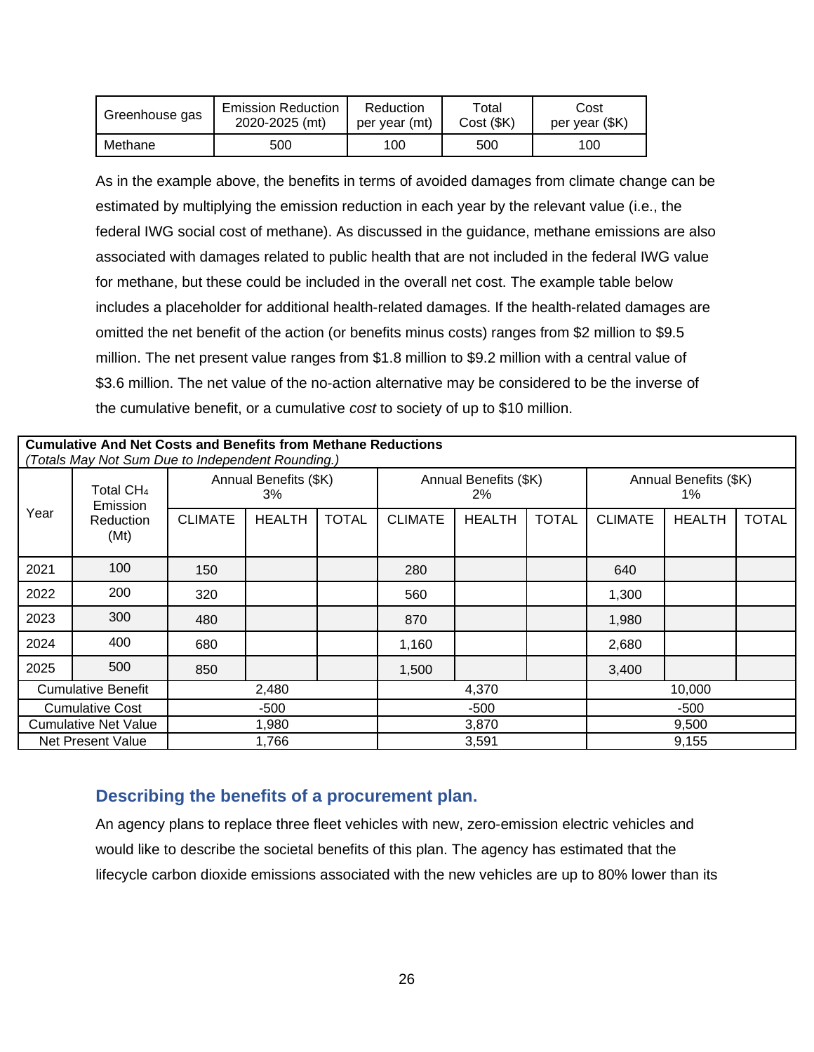| Greenhouse gas | <b>Emission Reduction</b> | Reduction     | Total      | Cost           |
|----------------|---------------------------|---------------|------------|----------------|
|                | 2020-2025 (mt)            | per vear (mt) | Cost (\$K) | per year (\$K) |
| Methane        | 500                       | 100           | 500        | 100            |

As in the example above, the benefits in terms of avoided damages from climate change can be estimated by multiplying the emission reduction in each year by the relevant value (i.e., the federal IWG social cost of methane). As discussed in the guidance, methane emissions are also associated with damages related to public health that are not included in the federal IWG value for methane, but these could be included in the overall net cost. The example table below includes a placeholder for additional health-related damages. If the health-related damages are omitted the net benefit of the action (or benefits minus costs) ranges from \$2 million to \$9.5 million. The net present value ranges from \$1.8 million to \$9.2 million with a central value of \$3.6 million. The net value of the no-action alternative may be considered to be the inverse of the cumulative benefit, or a cumulative *cost* to society of up to \$10 million.

|                                   | <b>Cumulative And Net Costs and Benefits from Methane Reductions</b><br>(Totals May Not Sum Due to Independent Rounding.) |                |               |                                |                |                             |              |                |               |              |
|-----------------------------------|---------------------------------------------------------------------------------------------------------------------------|----------------|---------------|--------------------------------|----------------|-----------------------------|--------------|----------------|---------------|--------------|
| Total CH <sub>4</sub><br>Emission | Annual Benefits (\$K)<br>3%                                                                                               |                |               | Annual Benefits (\$K)<br>$2\%$ |                | Annual Benefits (\$K)<br>1% |              |                |               |              |
| Year                              | Reduction<br>(Mt)                                                                                                         | <b>CLIMATE</b> | <b>HEALTH</b> | <b>TOTAL</b>                   | <b>CLIMATE</b> | <b>HEALTH</b>               | <b>TOTAL</b> | <b>CLIMATE</b> | <b>HEALTH</b> | <b>TOTAL</b> |
| 2021                              | 100                                                                                                                       | 150            |               |                                | 280            |                             |              | 640            |               |              |
| 2022                              | 200                                                                                                                       | 320            |               |                                | 560            |                             |              | 1,300          |               |              |
| 2023                              | 300                                                                                                                       | 480            |               |                                | 870            |                             |              | 1,980          |               |              |
| 2024                              | 400                                                                                                                       | 680            |               |                                | 1,160          |                             |              | 2,680          |               |              |
| 2025                              | 500                                                                                                                       | 850            |               |                                | 1,500          |                             |              | 3,400          |               |              |
|                                   | <b>Cumulative Benefit</b>                                                                                                 |                | 2,480         |                                |                | 4,370                       |              |                | 10,000        |              |
|                                   | <b>Cumulative Cost</b>                                                                                                    |                | -500          |                                |                | $-500$                      |              |                | -500          |              |
|                                   | <b>Cumulative Net Value</b>                                                                                               |                | 1,980         |                                |                | 3,870                       |              |                | 9,500         |              |
|                                   | Net Present Value                                                                                                         |                | 1,766         |                                |                | 3,591                       |              |                | 9,155         |              |

### <span id="page-25-0"></span>**Describing the benefits of a procurement plan.**

An agency plans to replace three fleet vehicles with new, zero-emission electric vehicles and would like to describe the societal benefits of this plan. The agency has estimated that the lifecycle carbon dioxide emissions associated with the new vehicles are up to 80% lower than its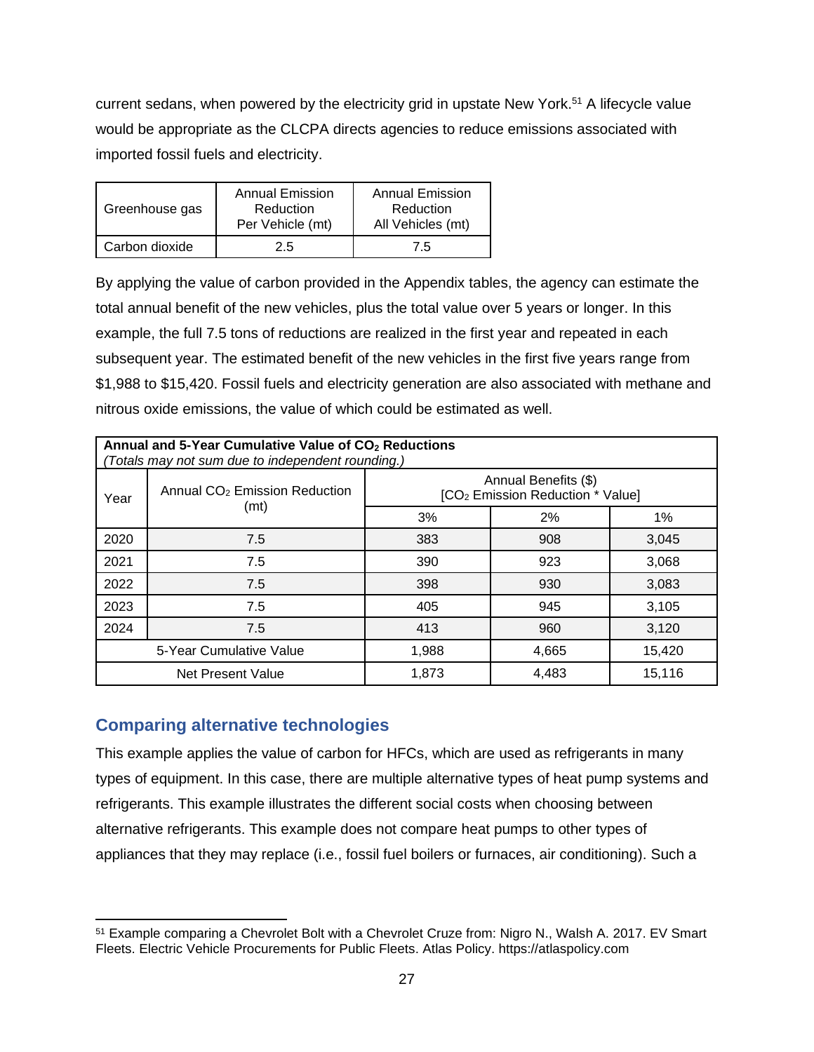current sedans, when powered by the electricity grid in upstate New York.<sup>51</sup> A lifecycle value would be appropriate as the CLCPA directs agencies to reduce emissions associated with imported fossil fuels and electricity.

| Greenhouse gas | <b>Annual Emission</b><br>Reduction<br>Per Vehicle (mt) | Annual Emission<br>Reduction<br>All Vehicles (mt) |
|----------------|---------------------------------------------------------|---------------------------------------------------|
| Carbon dioxide | 2.5                                                     | 7.5                                               |

By applying the value of carbon provided in the Appendix tables, the agency can estimate the total annual benefit of the new vehicles, plus the total value over 5 years or longer. In this example, the full 7.5 tons of reductions are realized in the first year and repeated in each subsequent year. The estimated benefit of the new vehicles in the first five years range from \$1,988 to \$15,420. Fossil fuels and electricity generation are also associated with methane and nitrous oxide emissions, the value of which could be estimated as well.

|      | Annual and 5-Year Cumulative Value of CO <sub>2</sub> Reductions<br>(Totals may not sum due to independent rounding.) |                                                                      |       |        |  |  |  |
|------|-----------------------------------------------------------------------------------------------------------------------|----------------------------------------------------------------------|-------|--------|--|--|--|
| Year | Annual CO <sub>2</sub> Emission Reduction<br>(mt)                                                                     | Annual Benefits (\$)<br>[CO <sub>2</sub> Emission Reduction * Value] |       |        |  |  |  |
|      |                                                                                                                       | 3%                                                                   | 2%    | 1%     |  |  |  |
| 2020 | 7.5                                                                                                                   | 383                                                                  | 908   | 3.045  |  |  |  |
| 2021 | 7.5                                                                                                                   | 390                                                                  | 923   | 3,068  |  |  |  |
| 2022 | 7.5                                                                                                                   | 398                                                                  | 930   | 3,083  |  |  |  |
| 2023 | 7.5                                                                                                                   | 405                                                                  | 945   | 3,105  |  |  |  |
| 2024 | 7.5                                                                                                                   | 413                                                                  | 960   | 3,120  |  |  |  |
|      | 5-Year Cumulative Value<br>1,988<br>4,665<br>15,420                                                                   |                                                                      |       |        |  |  |  |
|      | Net Present Value                                                                                                     | 1,873                                                                | 4,483 | 15,116 |  |  |  |

### **Comparing alternative technologies**

This example applies the value of carbon for HFCs, which are used as refrigerants in many types of equipment. In this case, there are multiple alternative types of heat pump systems and refrigerants. This example illustrates the different social costs when choosing between alternative refrigerants. This example does not compare heat pumps to other types of appliances that they may replace (i.e., fossil fuel boilers or furnaces, air conditioning). Such a

<sup>51</sup> Example comparing a Chevrolet Bolt with a Chevrolet Cruze from: Nigro N., Walsh A. 2017. EV Smart Fleets. Electric Vehicle Procurements for Public Fleets. Atlas Policy. https://atlaspolicy.com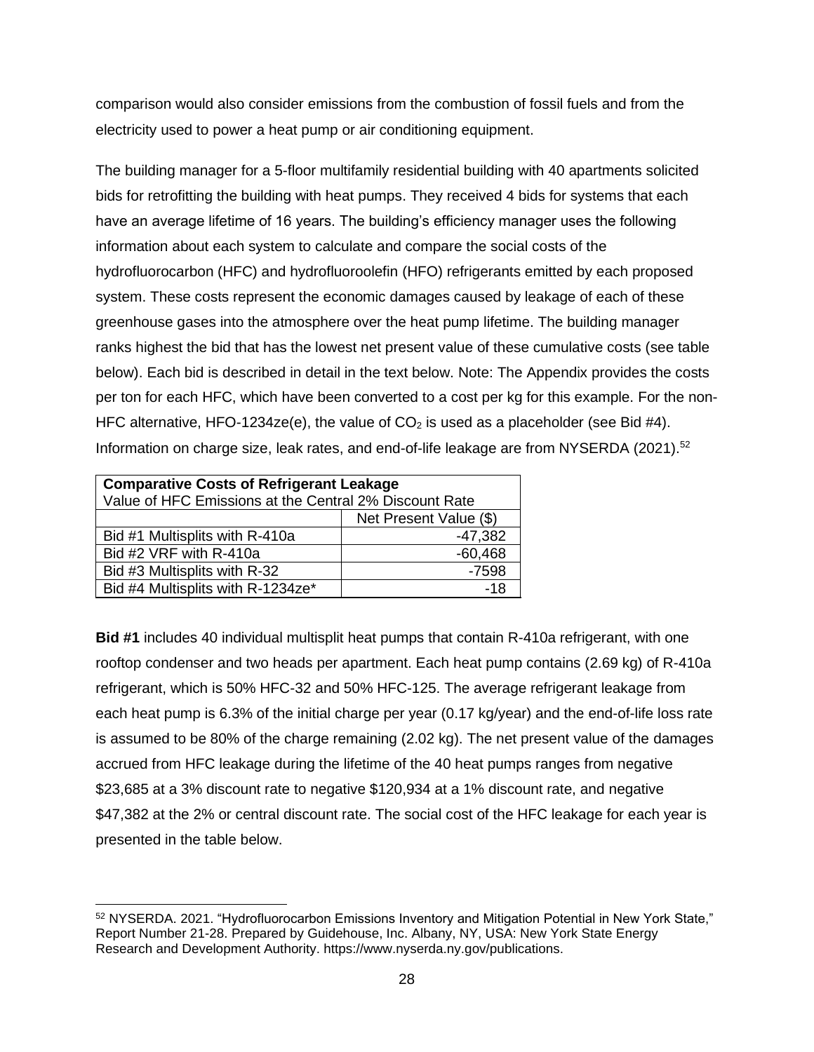comparison would also consider emissions from the combustion of fossil fuels and from the electricity used to power a heat pump or air conditioning equipment.

The building manager for a 5-floor multifamily residential building with 40 apartments solicited bids for retrofitting the building with heat pumps. They received 4 bids for systems that each have an average lifetime of 16 years. The building's efficiency manager uses the following information about each system to calculate and compare the social costs of the hydrofluorocarbon (HFC) and hydrofluoroolefin (HFO) refrigerants emitted by each proposed system. These costs represent the economic damages caused by leakage of each of these greenhouse gases into the atmosphere over the heat pump lifetime. The building manager ranks highest the bid that has the lowest net present value of these cumulative costs (see table below). Each bid is described in detail in the text below. Note: The Appendix provides the costs per ton for each HFC, which have been converted to a cost per kg for this example. For the non-HFC alternative, HFO-1234ze(e), the value of  $CO<sub>2</sub>$  is used as a placeholder (see Bid #4). Information on charge size, leak rates, and end-of-life leakage are from NYSERDA (2021).<sup>52</sup>

| <b>Comparative Costs of Refrigerant Leakage</b>        |           |  |  |  |
|--------------------------------------------------------|-----------|--|--|--|
| Value of HFC Emissions at the Central 2% Discount Rate |           |  |  |  |
| Net Present Value (\$)                                 |           |  |  |  |
| $-47,382$<br>Bid #1 Multisplits with R-410a            |           |  |  |  |
| Bid #2 VRF with R-410a                                 | $-60,468$ |  |  |  |
| Bid #3 Multisplits with R-32<br>$-7598$                |           |  |  |  |
| Bid #4 Multisplits with R-1234ze*                      | -18       |  |  |  |

**Bid #1** includes 40 individual multisplit heat pumps that contain R-410a refrigerant, with one rooftop condenser and two heads per apartment. Each heat pump contains (2.69 kg) of R-410a refrigerant, which is 50% HFC-32 and 50% HFC-125. The average refrigerant leakage from each heat pump is 6.3% of the initial charge per year (0.17 kg/year) and the end-of-life loss rate is assumed to be 80% of the charge remaining (2.02 kg). The net present value of the damages accrued from HFC leakage during the lifetime of the 40 heat pumps ranges from negative \$23,685 at a 3% discount rate to negative \$120,934 at a 1% discount rate, and negative \$47,382 at the 2% or central discount rate. The social cost of the HFC leakage for each year is presented in the table below.

<sup>52</sup> NYSERDA. 2021. "Hydrofluorocarbon Emissions Inventory and Mitigation Potential in New York State," Report Number 21-28. Prepared by Guidehouse, Inc. Albany, NY, USA: New York State Energy Research and Development Authority. https://www.nyserda.ny.gov/publications.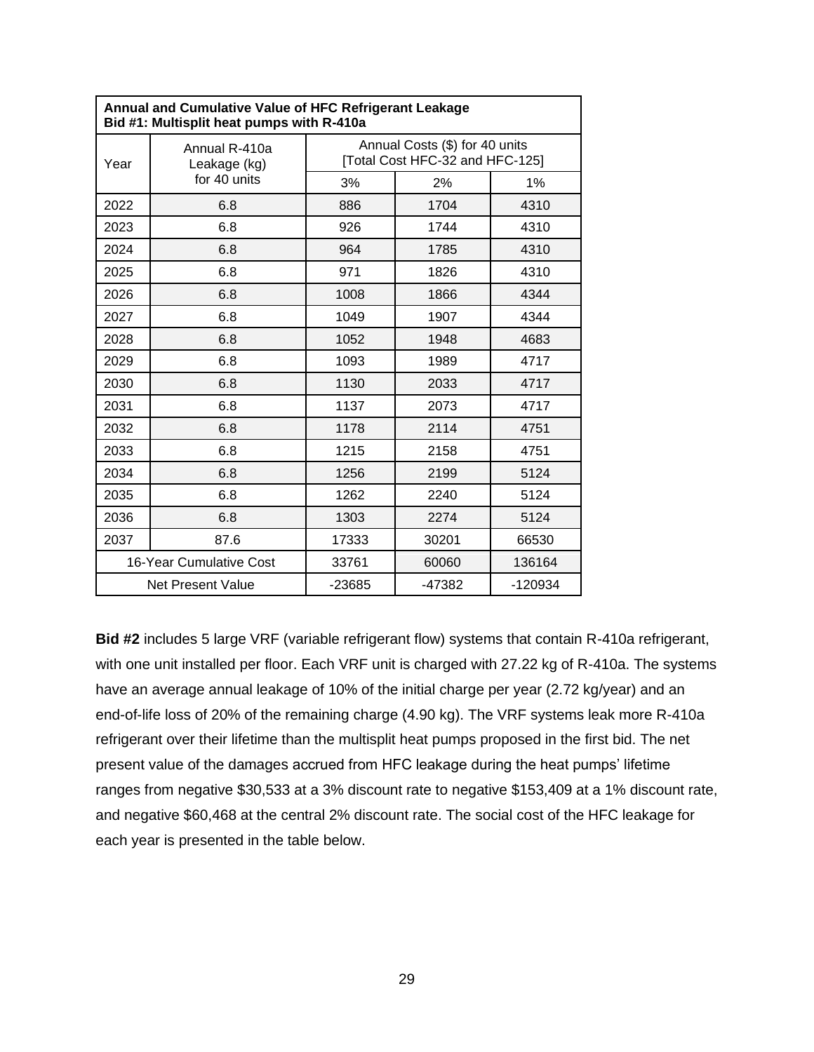| <b>Annual and Cumulative Value of HFC Refrigerant Leakage</b><br>Bid #1: Multisplit heat pumps with R-410a |                               |                                                                   |          |           |  |  |
|------------------------------------------------------------------------------------------------------------|-------------------------------|-------------------------------------------------------------------|----------|-----------|--|--|
| Year                                                                                                       | Annual R-410a<br>Leakage (kg) | Annual Costs (\$) for 40 units<br>[Total Cost HFC-32 and HFC-125] |          |           |  |  |
|                                                                                                            | for 40 units                  | 3%                                                                | 2%       | 1%        |  |  |
| 2022                                                                                                       | 6.8                           | 886                                                               | 1704     | 4310      |  |  |
| 2023                                                                                                       | 6.8                           | 926                                                               | 1744     | 4310      |  |  |
| 2024                                                                                                       | 6.8                           | 964                                                               | 1785     | 4310      |  |  |
| 2025                                                                                                       | 6.8                           | 971                                                               | 1826     | 4310      |  |  |
| 2026                                                                                                       | 6.8                           | 1008                                                              | 1866     | 4344      |  |  |
| 2027                                                                                                       | 6.8                           | 1049                                                              | 1907     | 4344      |  |  |
| 2028                                                                                                       | 6.8                           | 1052                                                              | 1948     | 4683      |  |  |
| 2029                                                                                                       | 6.8                           | 1093                                                              | 1989     | 4717      |  |  |
| 2030                                                                                                       | 6.8                           | 1130                                                              | 2033     | 4717      |  |  |
| 2031                                                                                                       | 6.8                           | 1137                                                              | 2073     | 4717      |  |  |
| 2032                                                                                                       | 6.8                           | 1178                                                              | 2114     | 4751      |  |  |
| 2033                                                                                                       | 6.8                           | 1215                                                              | 2158     | 4751      |  |  |
| 2034                                                                                                       | 6.8                           | 1256                                                              | 2199     | 5124      |  |  |
| 2035                                                                                                       | 6.8                           | 1262                                                              | 2240     | 5124      |  |  |
| 2036                                                                                                       | 6.8                           | 1303                                                              | 2274     | 5124      |  |  |
| 2037                                                                                                       | 87.6                          | 17333                                                             | 30201    | 66530     |  |  |
|                                                                                                            | 16-Year Cumulative Cost       | 33761                                                             | 60060    | 136164    |  |  |
|                                                                                                            | Net Present Value             | $-23685$                                                          | $-47382$ | $-120934$ |  |  |

**Bid #2** includes 5 large VRF (variable refrigerant flow) systems that contain R-410a refrigerant, with one unit installed per floor. Each VRF unit is charged with 27.22 kg of R-410a. The systems have an average annual leakage of 10% of the initial charge per year (2.72 kg/year) and an end-of-life loss of 20% of the remaining charge (4.90 kg). The VRF systems leak more R-410a refrigerant over their lifetime than the multisplit heat pumps proposed in the first bid. The net present value of the damages accrued from HFC leakage during the heat pumps' lifetime ranges from negative \$30,533 at a 3% discount rate to negative \$153,409 at a 1% discount rate, and negative \$60,468 at the central 2% discount rate. The social cost of the HFC leakage for each year is presented in the table below.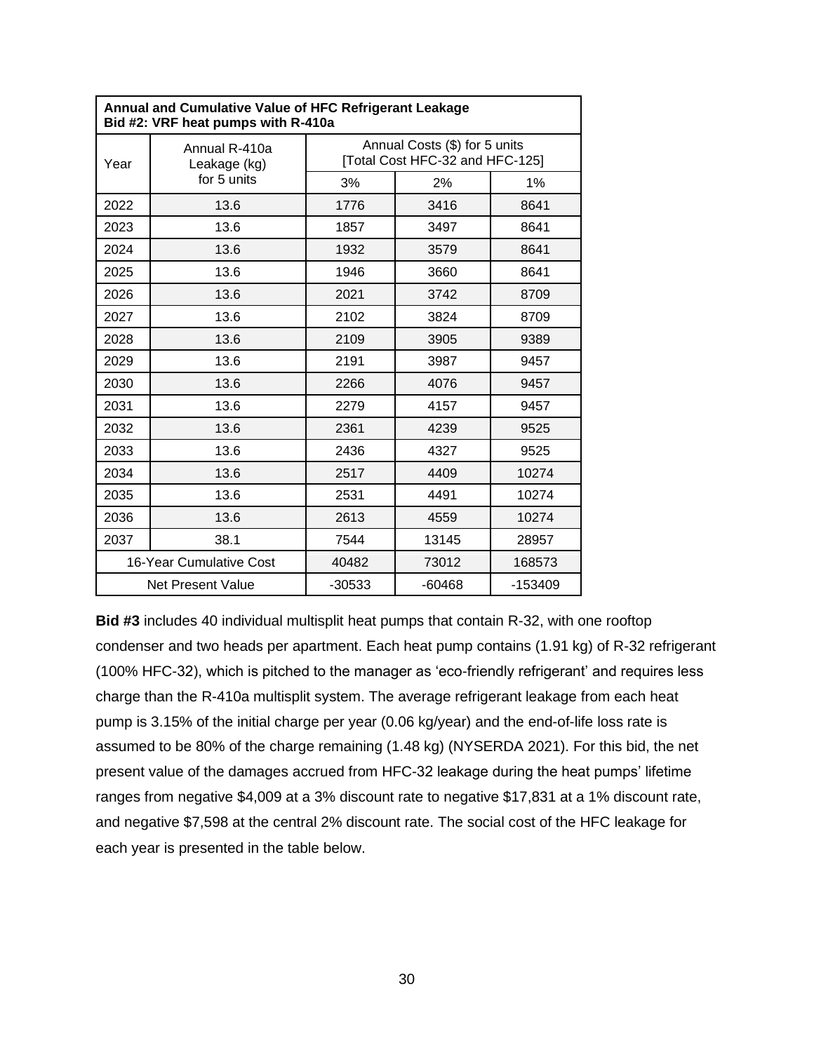|      | <b>Annual and Cumulative Value of HFC Refrigerant Leakage</b><br>Bid #2: VRF heat pumps with R-410a |                                                                  |       |        |  |  |
|------|-----------------------------------------------------------------------------------------------------|------------------------------------------------------------------|-------|--------|--|--|
| Year | Annual R-410a<br>Leakage (kg)<br>for 5 units                                                        | Annual Costs (\$) for 5 units<br>[Total Cost HFC-32 and HFC-125] |       |        |  |  |
|      |                                                                                                     | 3%                                                               | 2%    | 1%     |  |  |
| 2022 | 13.6                                                                                                | 1776                                                             | 3416  | 8641   |  |  |
| 2023 | 13.6                                                                                                | 1857                                                             | 3497  | 8641   |  |  |
| 2024 | 13.6                                                                                                | 1932                                                             | 3579  | 8641   |  |  |
| 2025 | 13.6                                                                                                | 1946                                                             | 3660  | 8641   |  |  |
| 2026 | 13.6                                                                                                | 2021                                                             | 3742  | 8709   |  |  |
| 2027 | 13.6                                                                                                | 2102                                                             | 3824  | 8709   |  |  |
| 2028 | 13.6                                                                                                | 2109                                                             | 3905  | 9389   |  |  |
| 2029 | 13.6                                                                                                | 2191                                                             | 3987  | 9457   |  |  |
| 2030 | 13.6                                                                                                | 2266                                                             | 4076  | 9457   |  |  |
| 2031 | 13.6                                                                                                | 2279                                                             | 4157  | 9457   |  |  |
| 2032 | 13.6                                                                                                | 2361                                                             | 4239  | 9525   |  |  |
| 2033 | 13.6                                                                                                | 2436                                                             | 4327  | 9525   |  |  |
| 2034 | 13.6                                                                                                | 2517                                                             | 4409  | 10274  |  |  |
| 2035 | 13.6                                                                                                | 2531                                                             | 4491  | 10274  |  |  |
| 2036 | 13.6                                                                                                | 2613                                                             | 4559  | 10274  |  |  |
| 2037 | 38.1                                                                                                | 7544                                                             | 13145 | 28957  |  |  |
|      | 16-Year Cumulative Cost                                                                             | 40482                                                            | 73012 | 168573 |  |  |
|      | $-30533$<br>$-60468$<br>-153409<br>Net Present Value                                                |                                                                  |       |        |  |  |

**Bid #3** includes 40 individual multisplit heat pumps that contain R-32, with one rooftop condenser and two heads per apartment. Each heat pump contains (1.91 kg) of R-32 refrigerant (100% HFC-32), which is pitched to the manager as 'eco-friendly refrigerant' and requires less charge than the R-410a multisplit system. The average refrigerant leakage from each heat pump is 3.15% of the initial charge per year (0.06 kg/year) and the end-of-life loss rate is assumed to be 80% of the charge remaining (1.48 kg) (NYSERDA 2021). For this bid, the net present value of the damages accrued from HFC-32 leakage during the heat pumps' lifetime ranges from negative \$4,009 at a 3% discount rate to negative \$17,831 at a 1% discount rate, and negative \$7,598 at the central 2% discount rate. The social cost of the HFC leakage for each year is presented in the table below.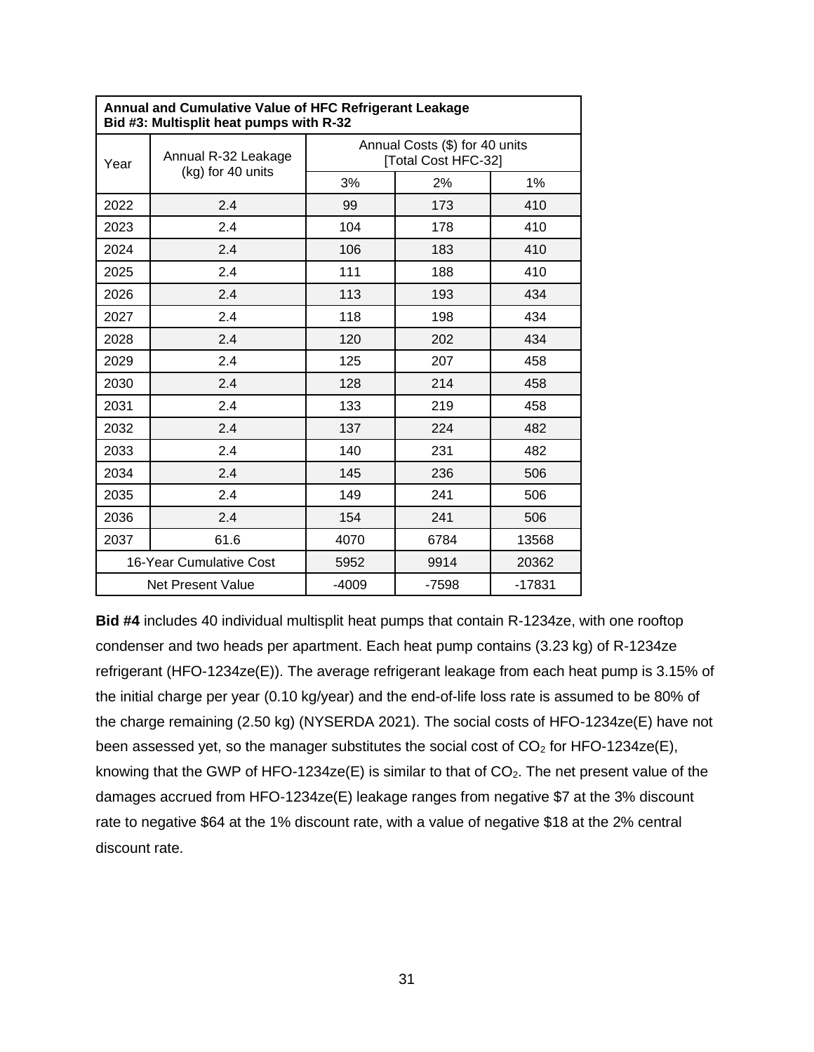| Annual and Cumulative Value of HFC Refrigerant Leakage<br>Bid #3: Multisplit heat pumps with R-32 |                          |                                                       |         |          |  |
|---------------------------------------------------------------------------------------------------|--------------------------|-------------------------------------------------------|---------|----------|--|
| Year                                                                                              | Annual R-32 Leakage      | Annual Costs (\$) for 40 units<br>[Total Cost HFC-32] |         |          |  |
|                                                                                                   | (kg) for 40 units        | 3%                                                    | 2%      | 1%       |  |
| 2022                                                                                              | 2.4                      | 99                                                    | 173     | 410      |  |
| 2023                                                                                              | 2.4                      | 104                                                   | 178     | 410      |  |
| 2024                                                                                              | 2.4                      | 106                                                   | 183     | 410      |  |
| 2025                                                                                              | 2.4                      | 111                                                   | 188     | 410      |  |
| 2026                                                                                              | 2.4                      | 113                                                   | 193     | 434      |  |
| 2027                                                                                              | 2.4                      | 118                                                   | 198     | 434      |  |
| 2028                                                                                              | 2.4                      | 120                                                   | 202     | 434      |  |
| 2029                                                                                              | 2.4                      | 125                                                   | 207     | 458      |  |
| 2030                                                                                              | 2.4                      | 128                                                   | 214     | 458      |  |
| 2031                                                                                              | 2.4                      | 133                                                   | 219     | 458      |  |
| 2032                                                                                              | 2.4                      | 137                                                   | 224     | 482      |  |
| 2033                                                                                              | 2.4                      | 140                                                   | 231     | 482      |  |
| 2034                                                                                              | 2.4                      | 145                                                   | 236     | 506      |  |
| 2035                                                                                              | 2.4                      | 149                                                   | 241     | 506      |  |
| 2036                                                                                              | 2.4                      | 154                                                   | 241     | 506      |  |
| 2037                                                                                              | 61.6                     | 4070                                                  | 6784    | 13568    |  |
|                                                                                                   | 16-Year Cumulative Cost  | 5952                                                  | 9914    | 20362    |  |
|                                                                                                   | <b>Net Present Value</b> | $-4009$                                               | $-7598$ | $-17831$ |  |

**Bid #4** includes 40 individual multisplit heat pumps that contain R-1234ze, with one rooftop condenser and two heads per apartment. Each heat pump contains (3.23 kg) of R-1234ze refrigerant (HFO-1234ze(E)). The average refrigerant leakage from each heat pump is 3.15% of the initial charge per year (0.10 kg/year) and the end-of-life loss rate is assumed to be 80% of the charge remaining (2.50 kg) (NYSERDA 2021). The social costs of HFO-1234ze(E) have not been assessed yet, so the manager substitutes the social cost of  $CO<sub>2</sub>$  for HFO-1234ze(E), knowing that the GWP of HFO-1234ze(E) is similar to that of  $CO<sub>2</sub>$ . The net present value of the damages accrued from HFO-1234ze(E) leakage ranges from negative \$7 at the 3% discount rate to negative \$64 at the 1% discount rate, with a value of negative \$18 at the 2% central discount rate.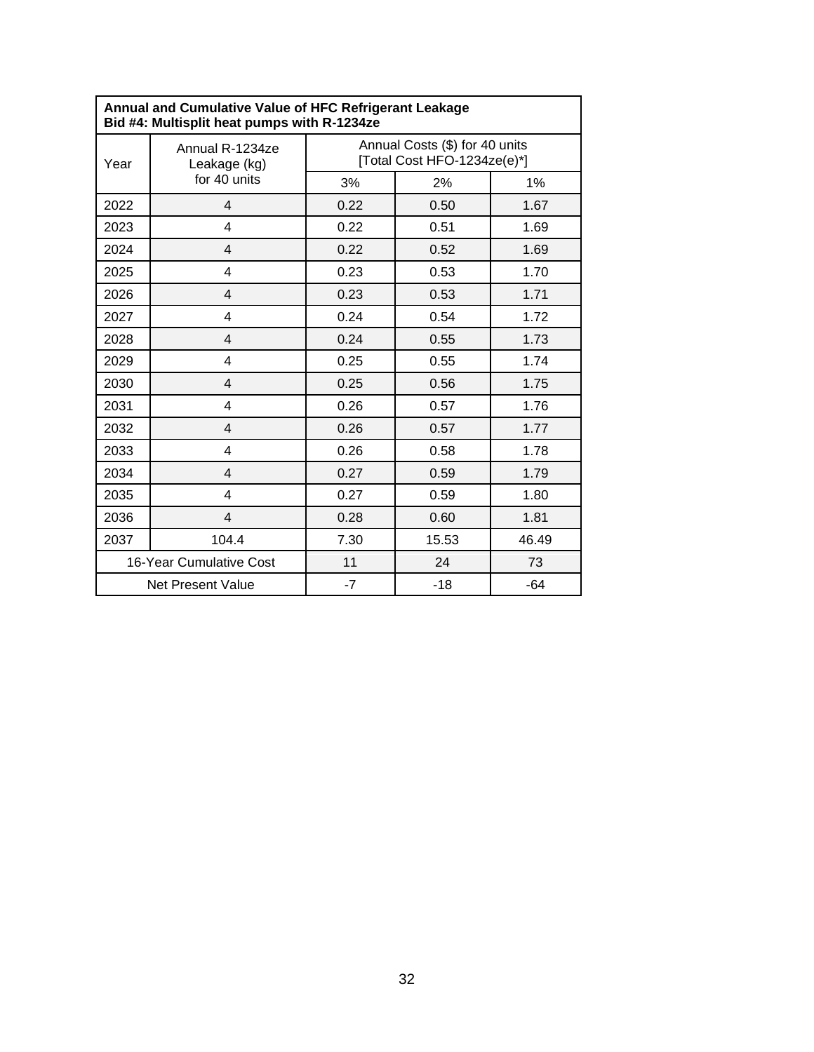| Annual and Cumulative Value of HFC Refrigerant Leakage<br>Bid #4: Multisplit heat pumps with R-1234ze |                                 |                                                               |       |       |  |
|-------------------------------------------------------------------------------------------------------|---------------------------------|---------------------------------------------------------------|-------|-------|--|
| Year                                                                                                  | Annual R-1234ze<br>Leakage (kg) | Annual Costs (\$) for 40 units<br>[Total Cost HFO-1234ze(e)*] |       |       |  |
|                                                                                                       | for 40 units                    | 3%                                                            | 2%    | 1%    |  |
| 2022                                                                                                  | $\overline{4}$                  | 0.22                                                          | 0.50  | 1.67  |  |
| 2023                                                                                                  | 4                               | 0.22                                                          | 0.51  | 1.69  |  |
| 2024                                                                                                  | 4                               | 0.22                                                          | 0.52  | 1.69  |  |
| 2025                                                                                                  | 4                               | 0.23                                                          | 0.53  | 1.70  |  |
| 2026                                                                                                  | $\overline{\mathbf{4}}$         | 0.23                                                          | 0.53  | 1.71  |  |
| 2027                                                                                                  | 4                               | 0.24                                                          | 0.54  | 1.72  |  |
| 2028                                                                                                  | $\overline{4}$                  | 0.24                                                          | 0.55  | 1.73  |  |
| 2029                                                                                                  | 4                               | 0.25                                                          | 0.55  | 1.74  |  |
| 2030                                                                                                  | $\overline{4}$                  | 0.25                                                          | 0.56  | 1.75  |  |
| 2031                                                                                                  | 4                               | 0.26                                                          | 0.57  | 1.76  |  |
| 2032                                                                                                  | 4                               | 0.26                                                          | 0.57  | 1.77  |  |
| 2033                                                                                                  | 4                               | 0.26                                                          | 0.58  | 1.78  |  |
| 2034                                                                                                  | $\overline{4}$                  | 0.27                                                          | 0.59  | 1.79  |  |
| 2035                                                                                                  | 4                               | 0.27                                                          | 0.59  | 1.80  |  |
| 2036                                                                                                  | $\overline{4}$                  | 0.28                                                          | 0.60  | 1.81  |  |
| 2037                                                                                                  | 104.4                           | 7.30                                                          | 15.53 | 46.49 |  |
|                                                                                                       | 16-Year Cumulative Cost         | 11                                                            | 24    | 73    |  |
|                                                                                                       | Net Present Value               | $-7$                                                          | $-18$ | $-64$ |  |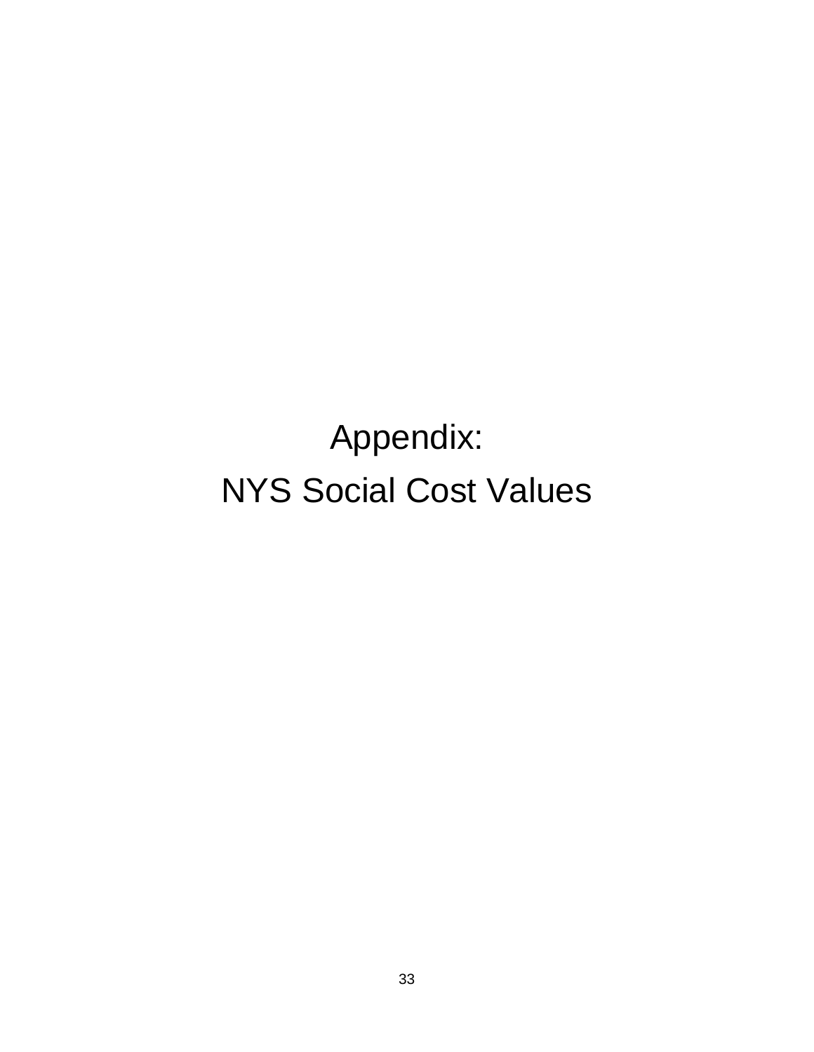Appendix: NYS Social Cost Values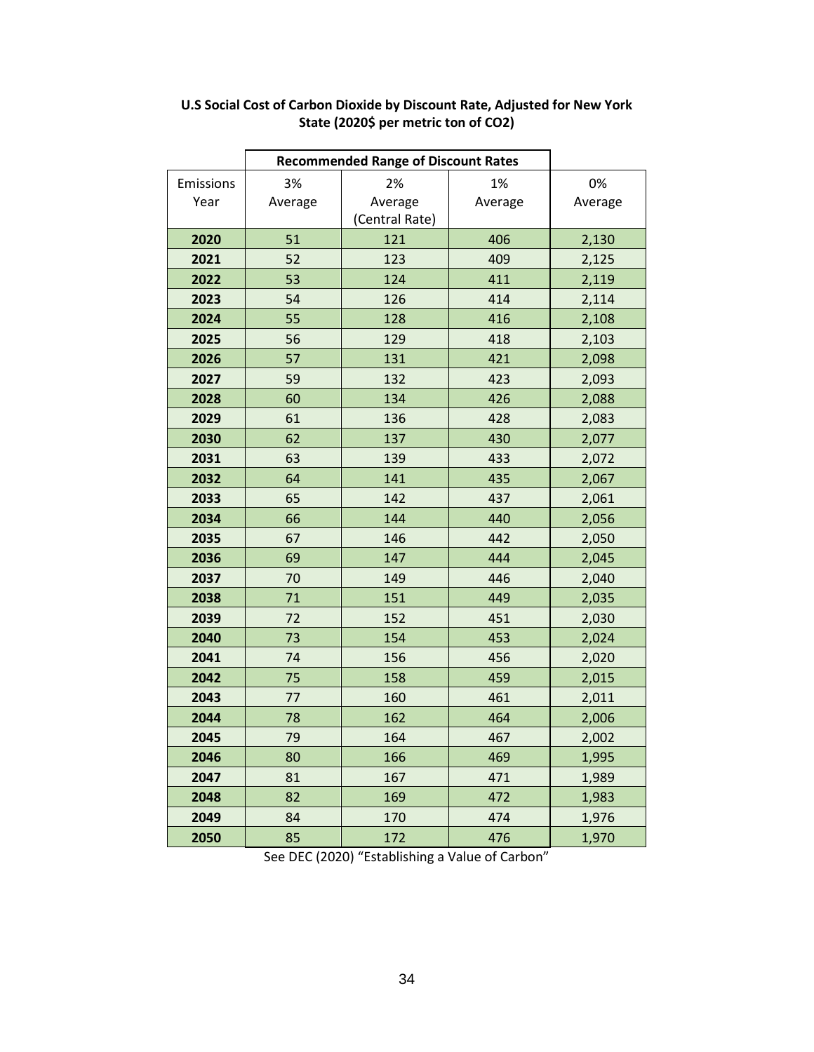| Emissions<br>Year | 3%<br>Average | 2%<br>Average<br>(Central Rate) | 1%<br>Average | 0%<br>Average |
|-------------------|---------------|---------------------------------|---------------|---------------|
| 2020              | 51            | 121                             | 406           | 2,130         |
| 2021              | 52            | 123                             | 409           | 2,125         |
| 2022              | 53            | 124                             | 411           | 2,119         |
| 2023              | 54            | 126                             | 414           | 2,114         |
| 2024              | 55            | 128                             | 416           | 2,108         |
| 2025              | 56            | 129                             | 418           | 2,103         |
| 2026              | 57            | 131                             | 421           | 2,098         |
| 2027              | 59            | 132                             | 423           | 2,093         |
| 2028              | 60            | 134                             | 426           | 2,088         |
| 2029              | 61            | 136                             | 428           | 2,083         |
| 2030              | 62            | 137                             | 430           | 2,077         |
| 2031              | 63            | 139                             | 433           | 2,072         |
| 2032              | 64            | 141                             | 435           | 2,067         |
| 2033              | 65            | 142                             | 437           | 2,061         |
| 2034              | 66            | 144                             | 440           | 2,056         |
| 2035              | 67            | 146                             | 442           | 2,050         |
| 2036              | 69            | 147                             | 444           | 2,045         |
| 2037              | 70            | 149                             | 446           | 2,040         |
| 2038              | 71            | 151                             | 449           | 2,035         |
| 2039              | 72            | 152                             | 451           | 2,030         |
| 2040              | 73            | 154                             | 453           | 2,024         |
| 2041              | 74            | 156                             | 456           | 2,020         |
| 2042              | 75            | 158                             | 459           | 2,015         |
| 2043              | 77            | 160                             | 461           | 2,011         |
| 2044              | 78            | 162                             | 464           | 2,006         |
| 2045              | 79            | 164                             | 467           | 2,002         |
| 2046              | 80            | 166                             | 469           | 1,995         |
| 2047              | 81            | 167                             | 471           | 1,989         |
| 2048              | 82            | 169                             | 472           | 1,983         |
| 2049              | 84            | 170                             | 474           | 1,976         |
| 2050              | 85            | 172                             | 476           | 1,970         |

### **U.S Social Cost of Carbon Dioxide by Discount Rate, Adjusted for New York State (2020\$ per metric ton of CO2)**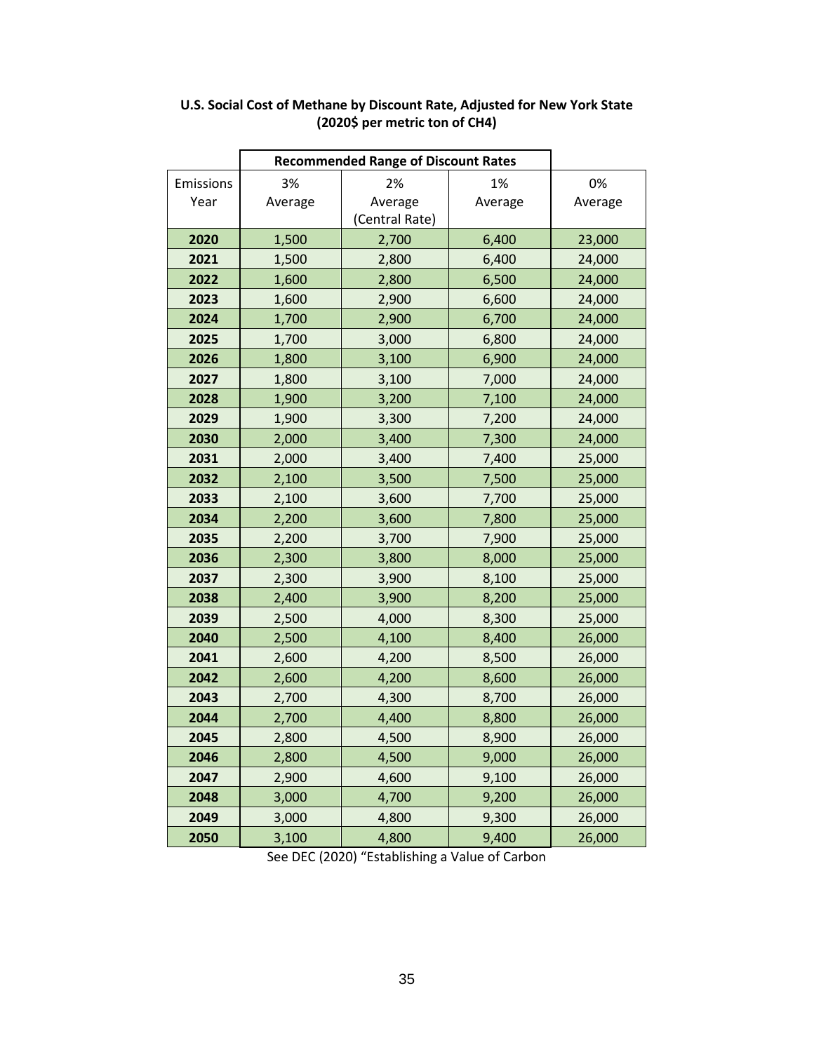|                   | <b>Recommended Range of Discount Rates</b> |                                 |               |               |  |
|-------------------|--------------------------------------------|---------------------------------|---------------|---------------|--|
| Emissions<br>Year | 3%<br>Average                              | 2%<br>Average<br>(Central Rate) | 1%<br>Average | 0%<br>Average |  |
| 2020              | 1,500                                      | 2,700                           | 6,400         | 23,000        |  |
| 2021              | 1,500                                      | 2,800                           | 6,400         | 24,000        |  |
| 2022              | 1,600                                      | 2,800                           | 6,500         | 24,000        |  |
| 2023              | 1,600                                      | 2,900                           | 6,600         | 24,000        |  |
| 2024              | 1,700                                      | 2,900                           | 6,700         | 24,000        |  |
| 2025              | 1,700                                      | 3,000                           | 6,800         | 24,000        |  |
| 2026              | 1,800                                      | 3,100                           | 6,900         | 24,000        |  |
| 2027              | 1,800                                      | 3,100                           | 7,000         | 24,000        |  |
| 2028              | 1,900                                      | 3,200                           | 7,100         | 24,000        |  |
| 2029              | 1,900                                      | 3,300                           | 7,200         | 24,000        |  |
| 2030              | 2,000                                      | 3,400                           | 7,300         | 24,000        |  |
| 2031              | 2,000                                      | 3,400                           | 7,400         | 25,000        |  |
| 2032              | 2,100                                      | 3,500                           | 7,500         | 25,000        |  |
| 2033              | 2,100                                      | 3,600                           | 7,700         | 25,000        |  |
| 2034              | 2,200                                      | 3,600                           | 7,800         | 25,000        |  |
| 2035              | 2,200                                      | 3,700                           | 7,900         | 25,000        |  |
| 2036              | 2,300                                      | 3,800                           | 8,000         | 25,000        |  |
| 2037              | 2,300                                      | 3,900                           | 8,100         | 25,000        |  |
| 2038              | 2,400                                      | 3,900                           | 8,200         | 25,000        |  |
| 2039              | 2,500                                      | 4,000                           | 8,300         | 25,000        |  |
| 2040              | 2,500                                      | 4,100                           | 8,400         | 26,000        |  |
| 2041              | 2,600                                      | 4,200                           | 8,500         | 26,000        |  |
| 2042              | 2,600                                      | 4,200                           | 8,600         | 26,000        |  |
| 2043              | 2,700                                      | 4,300                           | 8,700         | 26,000        |  |
| 2044              | 2,700                                      | 4,400                           | 8,800         | 26,000        |  |
| 2045              | 2,800                                      | 4,500                           | 8,900         | 26,000        |  |
| 2046              | 2,800                                      | 4,500                           | 9,000         | 26,000        |  |
| 2047              | 2,900                                      | 4,600                           | 9,100         | 26,000        |  |
| 2048              | 3,000                                      | 4,700                           | 9,200         | 26,000        |  |
| 2049              | 3,000                                      | 4,800                           | 9,300         | 26,000        |  |
| 2050              | 3,100                                      | 4,800                           | 9,400         | 26,000        |  |

### **U.S. Social Cost of Methane by Discount Rate, Adjusted for New York State (2020\$ per metric ton of CH4)**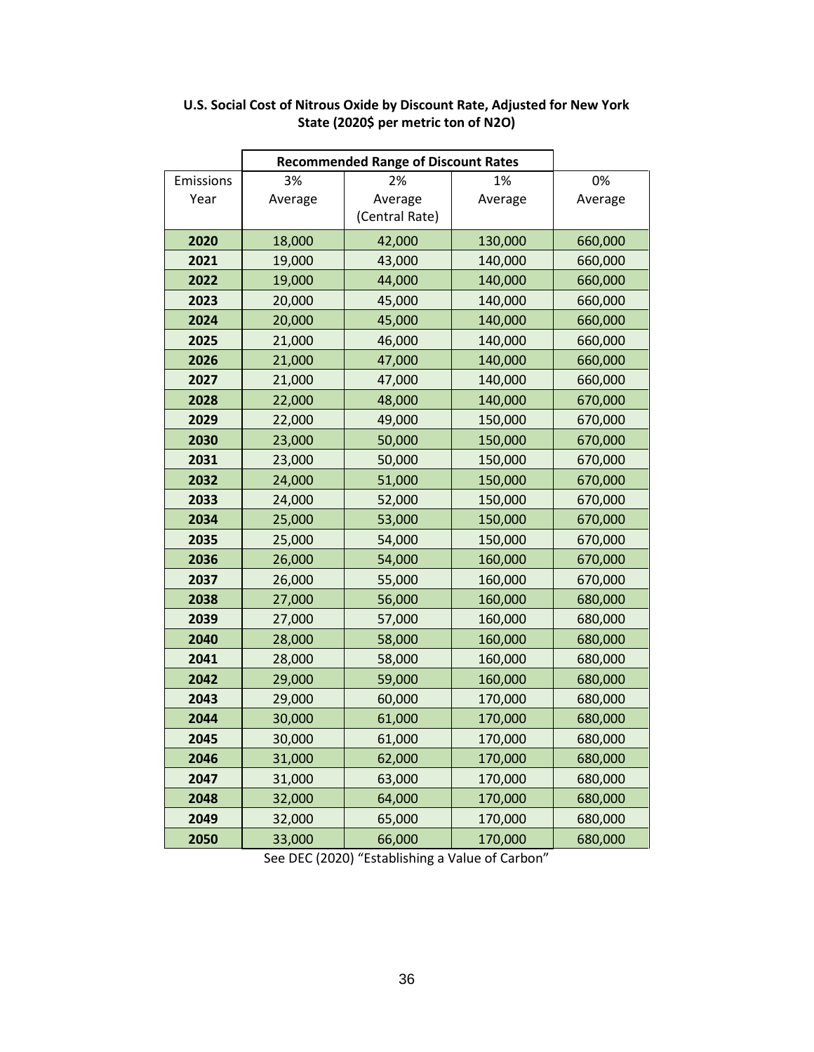|           | <b>Recommended Range of Discount Rates</b> |                |         |         |
|-----------|--------------------------------------------|----------------|---------|---------|
| Emissions | 3%                                         | 2%             | 1%      | 0%      |
| Year      | Average                                    | Average        | Average | Average |
|           |                                            | (Central Rate) |         |         |
| 2020      | 18,000                                     | 42,000         | 130,000 | 660,000 |
| 2021      | 19,000                                     | 43,000         | 140,000 | 660,000 |
| 2022      | 19,000                                     | 44,000         | 140,000 | 660,000 |
| 2023      | 20,000                                     | 45,000         | 140,000 | 660,000 |
| 2024      | 20,000                                     | 45,000         | 140,000 | 660,000 |
| 2025      | 21,000                                     | 46,000         | 140,000 | 660,000 |
| 2026      | 21,000                                     | 47,000         | 140,000 | 660,000 |
| 2027      | 21,000                                     | 47,000         | 140,000 | 660,000 |
| 2028      | 22,000                                     | 48,000         | 140,000 | 670,000 |
| 2029      | 22,000                                     | 49,000         | 150,000 | 670,000 |
| 2030      | 23,000                                     | 50,000         | 150,000 | 670,000 |
| 2031      | 23,000                                     | 50,000         | 150,000 | 670,000 |
| 2032      | 24,000                                     | 51,000         | 150,000 | 670,000 |
| 2033      | 24,000                                     | 52,000         | 150,000 | 670,000 |
| 2034      | 25,000                                     | 53,000         | 150,000 | 670,000 |
| 2035      | 25,000                                     | 54,000         | 150,000 | 670,000 |
| 2036      | 26,000                                     | 54,000         | 160,000 | 670,000 |
| 2037      | 26,000                                     | 55,000         | 160,000 | 670,000 |
| 2038      | 27,000                                     | 56,000         | 160,000 | 680,000 |
| 2039      | 27,000                                     | 57,000         | 160,000 | 680,000 |
| 2040      | 28,000                                     | 58,000         | 160,000 | 680,000 |
| 2041      | 28,000                                     | 58,000         | 160,000 | 680,000 |
| 2042      | 29,000                                     | 59,000         | 160,000 | 680,000 |
| 2043      | 29,000                                     | 60,000         | 170,000 | 680,000 |
| 2044      | 30,000                                     | 61,000         | 170,000 | 680,000 |
| 2045      | 30,000                                     | 61,000         | 170,000 | 680,000 |
| 2046      | 31,000                                     | 62,000         | 170,000 | 680,000 |
| 2047      | 31,000                                     | 63,000         | 170,000 | 680,000 |
| 2048      | 32,000                                     | 64,000         | 170,000 | 680,000 |
| 2049      | 32,000                                     | 65,000         | 170,000 | 680,000 |
| 2050      | 33,000                                     | 66,000         | 170,000 | 680,000 |

### **U.S. Social Cost of Nitrous Oxide by Discount Rate, Adjusted for New York State (2020\$ per metric ton of N2O)**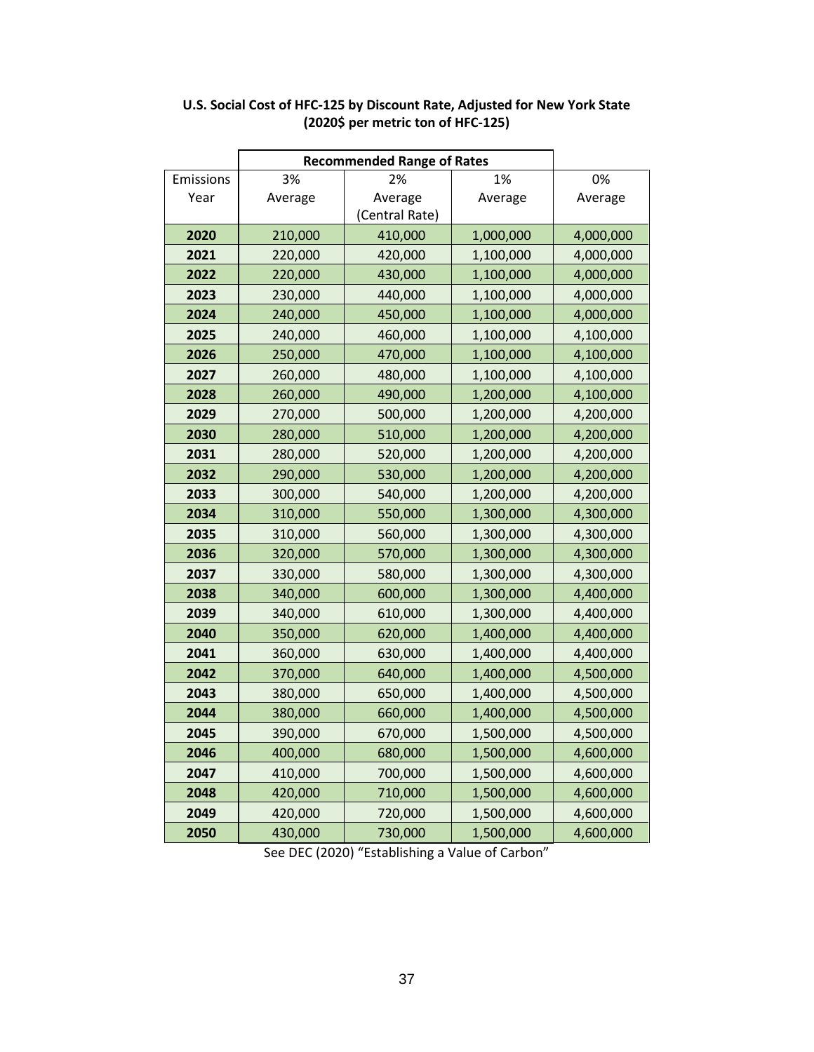|           | <b>Recommended Range of Rates</b> |                |           |           |
|-----------|-----------------------------------|----------------|-----------|-----------|
| Emissions | 3%                                | 2%             | 1%        | 0%        |
| Year      | Average                           | Average        | Average   | Average   |
|           |                                   | (Central Rate) |           |           |
| 2020      | 210,000                           | 410,000        | 1,000,000 | 4,000,000 |
| 2021      | 220,000                           | 420,000        | 1,100,000 | 4,000,000 |
| 2022      | 220,000                           | 430,000        | 1,100,000 | 4,000,000 |
| 2023      | 230,000                           | 440,000        | 1,100,000 | 4,000,000 |
| 2024      | 240,000                           | 450,000        | 1,100,000 | 4,000,000 |
| 2025      | 240,000                           | 460,000        | 1,100,000 | 4,100,000 |
| 2026      | 250,000                           | 470,000        | 1,100,000 | 4,100,000 |
| 2027      | 260,000                           | 480,000        | 1,100,000 | 4,100,000 |
| 2028      | 260,000                           | 490,000        | 1,200,000 | 4,100,000 |
| 2029      | 270,000                           | 500,000        | 1,200,000 | 4,200,000 |
| 2030      | 280,000                           | 510,000        | 1,200,000 | 4,200,000 |
| 2031      | 280,000                           | 520,000        | 1,200,000 | 4,200,000 |
| 2032      | 290,000                           | 530,000        | 1,200,000 | 4,200,000 |
| 2033      | 300,000                           | 540,000        | 1,200,000 | 4,200,000 |
| 2034      | 310,000                           | 550,000        | 1,300,000 | 4,300,000 |
| 2035      | 310,000                           | 560,000        | 1,300,000 | 4,300,000 |
| 2036      | 320,000                           | 570,000        | 1,300,000 | 4,300,000 |
| 2037      | 330,000                           | 580,000        | 1,300,000 | 4,300,000 |
| 2038      | 340,000                           | 600,000        | 1,300,000 | 4,400,000 |
| 2039      | 340,000                           | 610,000        | 1,300,000 | 4,400,000 |
| 2040      | 350,000                           | 620,000        | 1,400,000 | 4,400,000 |
| 2041      | 360,000                           | 630,000        | 1,400,000 | 4,400,000 |
| 2042      | 370,000                           | 640,000        | 1,400,000 | 4,500,000 |
| 2043      | 380,000                           | 650,000        | 1,400,000 | 4,500,000 |
| 2044      | 380,000                           | 660,000        | 1,400,000 | 4,500,000 |
| 2045      | 390,000                           | 670,000        | 1,500,000 | 4,500,000 |
| 2046      | 400,000                           | 680,000        | 1,500,000 | 4,600,000 |
| 2047      | 410,000                           | 700,000        | 1,500,000 | 4,600,000 |
| 2048      | 420,000                           | 710,000        | 1,500,000 | 4,600,000 |
| 2049      | 420,000                           | 720,000        | 1,500,000 | 4,600,000 |
| 2050      | 430,000                           | 730,000        | 1,500,000 | 4,600,000 |

### **U.S. Social Cost of HFC-125 by Discount Rate, Adjusted for New York State (2020\$ per metric ton of HFC-125)**

 $\mathbf{r}$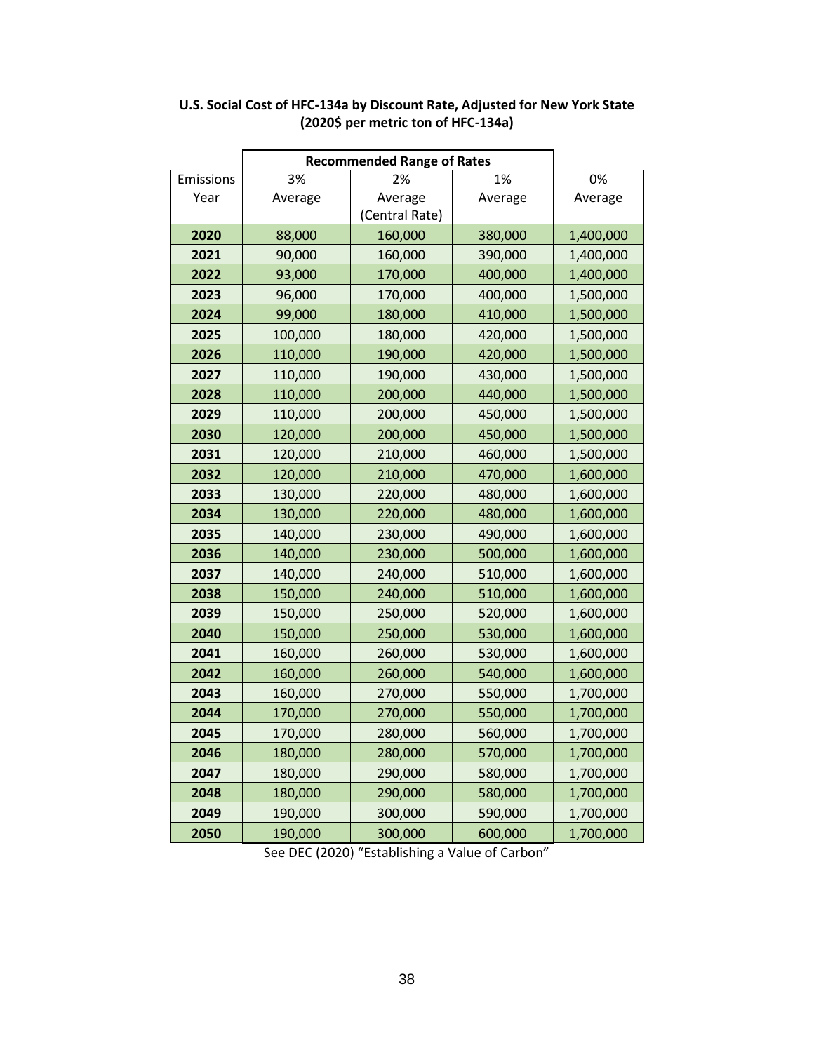|           | <b>Recommended Range of Rates</b> |                |         |           |
|-----------|-----------------------------------|----------------|---------|-----------|
| Emissions | 3%                                | 2%             | 1%      | 0%        |
| Year      | Average                           | Average        | Average | Average   |
|           |                                   | (Central Rate) |         |           |
| 2020      | 88,000                            | 160,000        | 380,000 | 1,400,000 |
| 2021      | 90,000                            | 160,000        | 390,000 | 1,400,000 |
| 2022      | 93,000                            | 170,000        | 400,000 | 1,400,000 |
| 2023      | 96,000                            | 170,000        | 400,000 | 1,500,000 |
| 2024      | 99,000                            | 180,000        | 410,000 | 1,500,000 |
| 2025      | 100,000                           | 180,000        | 420,000 | 1,500,000 |
| 2026      | 110,000                           | 190,000        | 420,000 | 1,500,000 |
| 2027      | 110,000                           | 190,000        | 430,000 | 1,500,000 |
| 2028      | 110,000                           | 200,000        | 440,000 | 1,500,000 |
| 2029      | 110,000                           | 200,000        | 450,000 | 1,500,000 |
| 2030      | 120,000                           | 200,000        | 450,000 | 1,500,000 |
| 2031      | 120,000                           | 210,000        | 460,000 | 1,500,000 |
| 2032      | 120,000                           | 210,000        | 470,000 | 1,600,000 |
| 2033      | 130,000                           | 220,000        | 480,000 | 1,600,000 |
| 2034      | 130,000                           | 220,000        | 480,000 | 1,600,000 |
| 2035      | 140,000                           | 230,000        | 490,000 | 1,600,000 |
| 2036      | 140,000                           | 230,000        | 500,000 | 1,600,000 |
| 2037      | 140,000                           | 240,000        | 510,000 | 1,600,000 |
| 2038      | 150,000                           | 240,000        | 510,000 | 1,600,000 |
| 2039      | 150,000                           | 250,000        | 520,000 | 1,600,000 |
| 2040      | 150,000                           | 250,000        | 530,000 | 1,600,000 |
| 2041      | 160,000                           | 260,000        | 530,000 | 1,600,000 |
| 2042      | 160,000                           | 260,000        | 540,000 | 1,600,000 |
| 2043      | 160,000                           | 270,000        | 550,000 | 1,700,000 |
| 2044      | 170,000                           | 270,000        | 550,000 | 1,700,000 |
| 2045      | 170,000                           | 280,000        | 560,000 | 1,700,000 |
| 2046      | 180,000                           | 280,000        | 570,000 | 1,700,000 |
| 2047      | 180,000                           | 290,000        | 580,000 | 1,700,000 |
| 2048      | 180,000                           | 290,000        | 580,000 | 1,700,000 |
| 2049      | 190,000                           | 300,000        | 590,000 | 1,700,000 |
| 2050      | 190,000                           | 300,000        | 600,000 | 1,700,000 |

### **U.S. Social Cost of HFC-134a by Discount Rate, Adjusted for New York State (2020\$ per metric ton of HFC-134a)**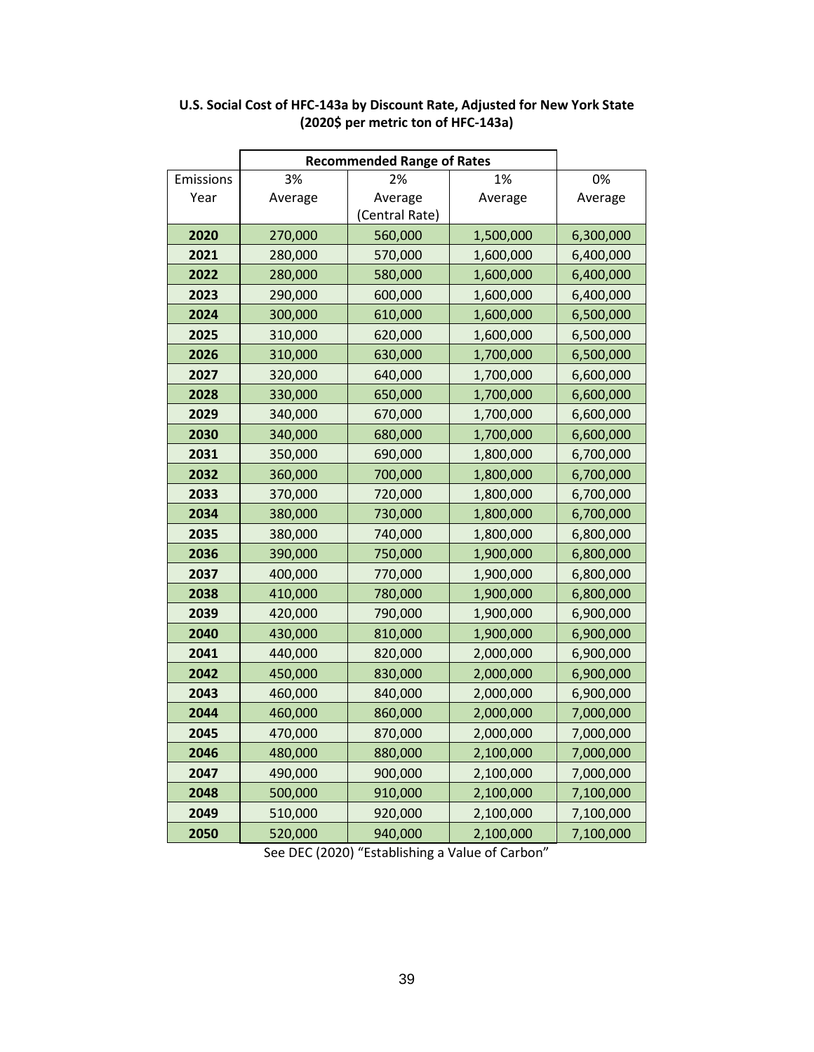|           | <b>Recommended Range of Rates</b> |                |           |           |
|-----------|-----------------------------------|----------------|-----------|-----------|
| Emissions | 3%                                | 2%             | 1%        | 0%        |
| Year      | Average                           | Average        | Average   | Average   |
|           |                                   | (Central Rate) |           |           |
| 2020      | 270,000                           | 560,000        | 1,500,000 | 6,300,000 |
| 2021      | 280,000                           | 570,000        | 1,600,000 | 6,400,000 |
| 2022      | 280,000                           | 580,000        | 1,600,000 | 6,400,000 |
| 2023      | 290,000                           | 600,000        | 1,600,000 | 6,400,000 |
| 2024      | 300,000                           | 610,000        | 1,600,000 | 6,500,000 |
| 2025      | 310,000                           | 620,000        | 1,600,000 | 6,500,000 |
| 2026      | 310,000                           | 630,000        | 1,700,000 | 6,500,000 |
| 2027      | 320,000                           | 640,000        | 1,700,000 | 6,600,000 |
| 2028      | 330,000                           | 650,000        | 1,700,000 | 6,600,000 |
| 2029      | 340,000                           | 670,000        | 1,700,000 | 6,600,000 |
| 2030      | 340,000                           | 680,000        | 1,700,000 | 6,600,000 |
| 2031      | 350,000                           | 690,000        | 1,800,000 | 6,700,000 |
| 2032      | 360,000                           | 700,000        | 1,800,000 | 6,700,000 |
| 2033      | 370,000                           | 720,000        | 1,800,000 | 6,700,000 |
| 2034      | 380,000                           | 730,000        | 1,800,000 | 6,700,000 |
| 2035      | 380,000                           | 740,000        | 1,800,000 | 6,800,000 |
| 2036      | 390,000                           | 750,000        | 1,900,000 | 6,800,000 |
| 2037      | 400,000                           | 770,000        | 1,900,000 | 6,800,000 |
| 2038      | 410,000                           | 780,000        | 1,900,000 | 6,800,000 |
| 2039      | 420,000                           | 790,000        | 1,900,000 | 6,900,000 |
| 2040      | 430,000                           | 810,000        | 1,900,000 | 6,900,000 |
| 2041      | 440,000                           | 820,000        | 2,000,000 | 6,900,000 |
| 2042      | 450,000                           | 830,000        | 2,000,000 | 6,900,000 |
| 2043      | 460,000                           | 840,000        | 2,000,000 | 6,900,000 |
| 2044      | 460,000                           | 860,000        | 2,000,000 | 7,000,000 |
| 2045      | 470,000                           | 870,000        | 2,000,000 | 7,000,000 |
| 2046      | 480,000                           | 880,000        | 2,100,000 | 7,000,000 |
| 2047      | 490,000                           | 900,000        | 2,100,000 | 7,000,000 |
| 2048      | 500,000                           | 910,000        | 2,100,000 | 7,100,000 |
| 2049      | 510,000                           | 920,000        | 2,100,000 | 7,100,000 |
| 2050      | 520,000                           | 940,000        | 2,100,000 | 7,100,000 |

### **U.S. Social Cost of HFC-143a by Discount Rate, Adjusted for New York State (2020\$ per metric ton of HFC-143a)**

r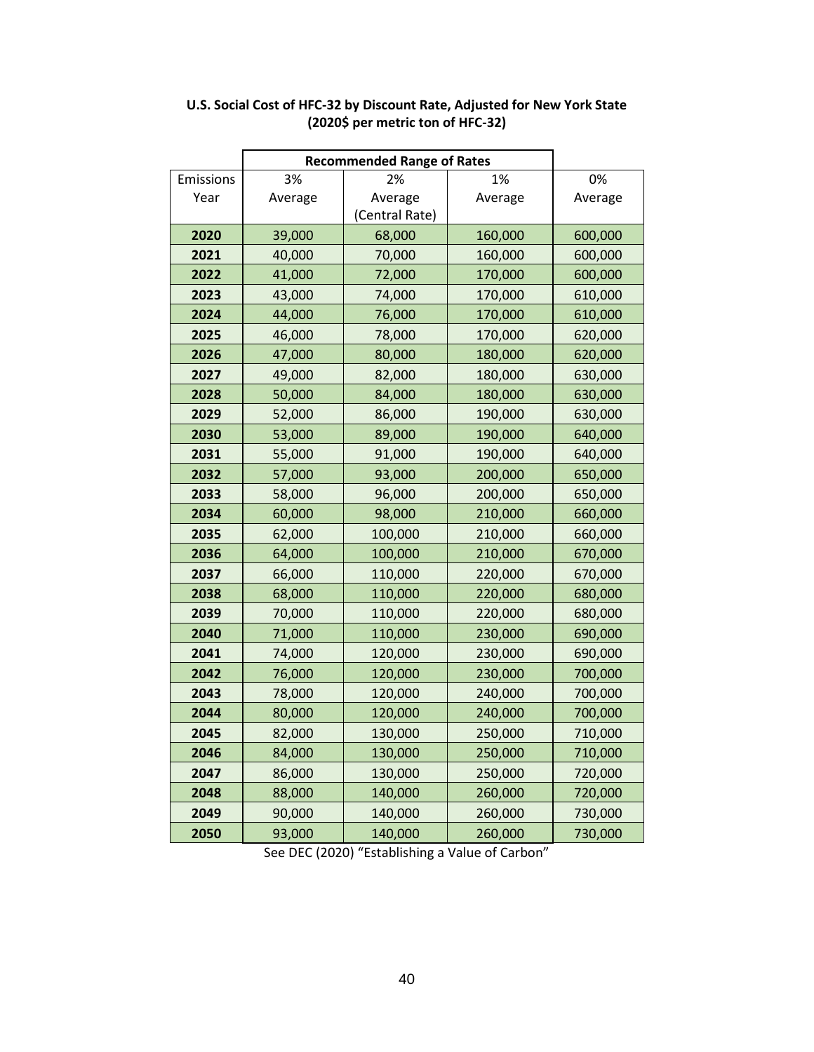|           | <b>Recommended Range of Rates</b> |                |         |         |
|-----------|-----------------------------------|----------------|---------|---------|
| Emissions | 3%                                | 2%             | 1%      | 0%      |
| Year      | Average                           | Average        | Average | Average |
|           |                                   | (Central Rate) |         |         |
| 2020      | 39,000                            | 68,000         | 160,000 | 600,000 |
| 2021      | 40,000                            | 70,000         | 160,000 | 600,000 |
| 2022      | 41,000                            | 72,000         | 170,000 | 600,000 |
| 2023      | 43,000                            | 74,000         | 170,000 | 610,000 |
| 2024      | 44,000                            | 76,000         | 170,000 | 610,000 |
| 2025      | 46,000                            | 78,000         | 170,000 | 620,000 |
| 2026      | 47,000                            | 80,000         | 180,000 | 620,000 |
| 2027      | 49,000                            | 82,000         | 180,000 | 630,000 |
| 2028      | 50,000                            | 84,000         | 180,000 | 630,000 |
| 2029      | 52,000                            | 86,000         | 190,000 | 630,000 |
| 2030      | 53,000                            | 89,000         | 190,000 | 640,000 |
| 2031      | 55,000                            | 91,000         | 190,000 | 640,000 |
| 2032      | 57,000                            | 93,000         | 200,000 | 650,000 |
| 2033      | 58,000                            | 96,000         | 200,000 | 650,000 |
| 2034      | 60,000                            | 98,000         | 210,000 | 660,000 |
| 2035      | 62,000                            | 100,000        | 210,000 | 660,000 |
| 2036      | 64,000                            | 100,000        | 210,000 | 670,000 |
| 2037      | 66,000                            | 110,000        | 220,000 | 670,000 |
| 2038      | 68,000                            | 110,000        | 220,000 | 680,000 |
| 2039      | 70,000                            | 110,000        | 220,000 | 680,000 |
| 2040      | 71,000                            | 110,000        | 230,000 | 690,000 |
| 2041      | 74,000                            | 120,000        | 230,000 | 690,000 |
| 2042      | 76,000                            | 120,000        | 230,000 | 700,000 |
| 2043      | 78,000                            | 120,000        | 240,000 | 700,000 |
| 2044      | 80,000                            | 120,000        | 240,000 | 700,000 |
| 2045      | 82,000                            | 130,000        | 250,000 | 710,000 |
| 2046      | 84,000                            | 130,000        | 250,000 | 710,000 |
| 2047      | 86,000                            | 130,000        | 250,000 | 720,000 |
| 2048      | 88,000                            | 140,000        | 260,000 | 720,000 |
| 2049      | 90,000                            | 140,000        | 260,000 | 730,000 |
| 2050      | 93,000                            | 140,000        | 260,000 | 730,000 |

### **U.S. Social Cost of HFC-32 by Discount Rate, Adjusted for New York State (2020\$ per metric ton of HFC-32)**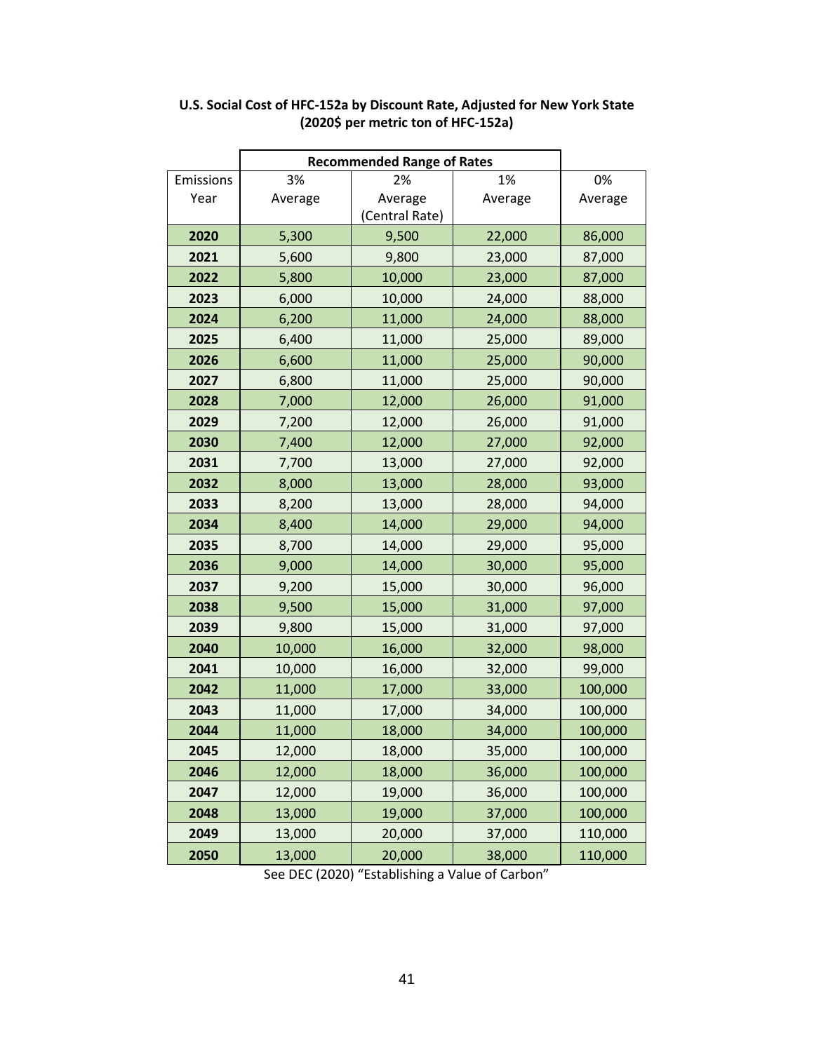|           | <b>Recommended Range of Rates</b> |                |         |         |
|-----------|-----------------------------------|----------------|---------|---------|
| Emissions | 3%                                | 2%             | 1%      | 0%      |
| Year      | Average                           | Average        | Average | Average |
|           |                                   | (Central Rate) |         |         |
| 2020      | 5,300                             | 9,500          | 22,000  | 86,000  |
| 2021      | 5,600                             | 9,800          | 23,000  | 87,000  |
| 2022      | 5,800                             | 10,000         | 23,000  | 87,000  |
| 2023      | 6,000                             | 10,000         | 24,000  | 88,000  |
| 2024      | 6,200                             | 11,000         | 24,000  | 88,000  |
| 2025      | 6,400                             | 11,000         | 25,000  | 89,000  |
| 2026      | 6,600                             | 11,000         | 25,000  | 90,000  |
| 2027      | 6,800                             | 11,000         | 25,000  | 90,000  |
| 2028      | 7,000                             | 12,000         | 26,000  | 91,000  |
| 2029      | 7,200                             | 12,000         | 26,000  | 91,000  |
| 2030      | 7,400                             | 12,000         | 27,000  | 92,000  |
| 2031      | 7,700                             | 13,000         | 27,000  | 92,000  |
| 2032      | 8,000                             | 13,000         | 28,000  | 93,000  |
| 2033      | 8,200                             | 13,000         | 28,000  | 94,000  |
| 2034      | 8,400                             | 14,000         | 29,000  | 94,000  |
| 2035      | 8,700                             | 14,000         | 29,000  | 95,000  |
| 2036      | 9,000                             | 14,000         | 30,000  | 95,000  |
| 2037      | 9,200                             | 15,000         | 30,000  | 96,000  |
| 2038      | 9,500                             | 15,000         | 31,000  | 97,000  |
| 2039      | 9,800                             | 15,000         | 31,000  | 97,000  |
| 2040      | 10,000                            | 16,000         | 32,000  | 98,000  |
| 2041      | 10,000                            | 16,000         | 32,000  | 99,000  |
| 2042      | 11,000                            | 17,000         | 33,000  | 100,000 |
| 2043      | 11,000                            | 17,000         | 34,000  | 100,000 |
| 2044      | 11,000                            | 18,000         | 34,000  | 100,000 |
| 2045      | 12,000                            | 18,000         | 35,000  | 100,000 |
| 2046      | 12,000                            | 18,000         | 36,000  | 100,000 |
| 2047      | 12,000                            | 19,000         | 36,000  | 100,000 |
| 2048      | 13,000                            | 19,000         | 37,000  | 100,000 |
| 2049      | 13,000                            | 20,000         | 37,000  | 110,000 |
| 2050      | 13,000                            | 20,000         | 38,000  | 110,000 |

#### **U.S. Social Cost of HFC-152a by Discount Rate, Adjusted for New York State (2020\$ per metric ton of HFC-152a)**

ŕ